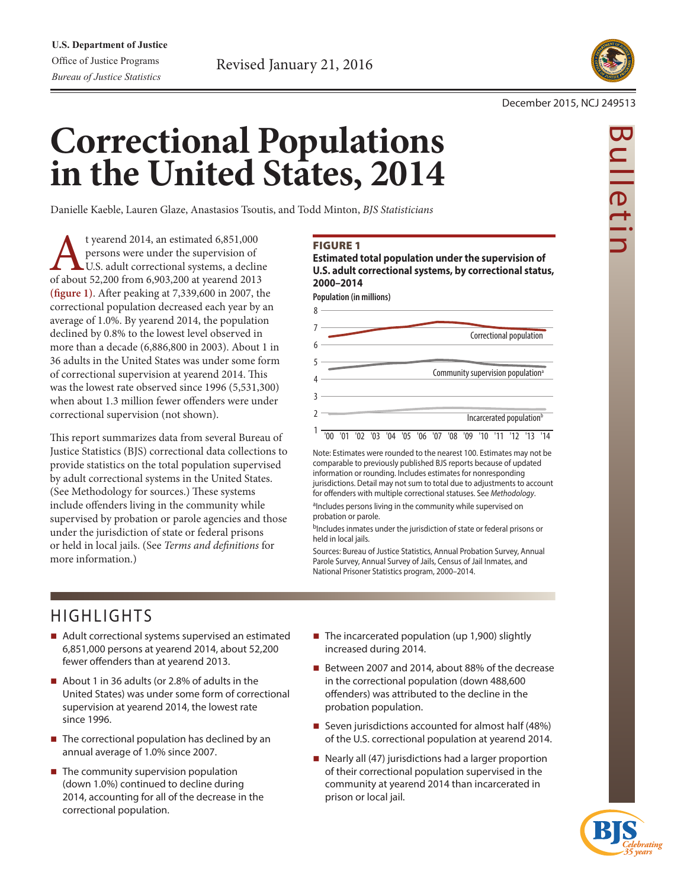

Bulletin

uljetir

# December 2015, NCJ 249513

# **Correctional Populations in the United States, 2014**

Danielle Kaeble, Lauren Glaze, Anastasios Tsoutis, and Todd Minton, *BJS Statisticians*

t yearend 2014, an estimated 6,851,000<br>persons were under the supervision of<br>of about 52,200 from 6,903,200 at yearend 2013 persons were under the supervision of U.S. adult correctional systems, a decline **(figure 1)**. After peaking at 7,339,600 in 2007, the correctional population decreased each year by an average of 1.0%. By yearend 2014, the population declined by 0.8% to the lowest level observed in more than a decade (6,886,800 in 2003). About 1 in 36 adults in the United States was under some form of correctional supervision at yearend 2014. This was the lowest rate observed since 1996 (5,531,300) when about 1.3 million fewer offenders were under correctional supervision (not shown).

This report summarizes data from several Bureau of Justice Statistics (BJS) correctional data collections to provide statistics on the total population supervised by adult correctional systems in the United States. (See Methodology for sources.) These systems include offenders living in the community while supervised by probation or parole agencies and those under the jurisdiction of state or federal prisons or held in local jails. (See *Terms and definitions* for more information.)

# **FIGURE 1**

**Estimated total population under the supervision of U.S. adult correctional systems, by correctional status, 2000–2014**

**Population (in millions)**



Note: Estimates were rounded to the nearest 100. Estimates may not be comparable to previously published BJS reports because of updated information or rounding. Includes estimates for nonresponding jurisdictions. Detail may not sum to total due to adjustments to account for offenders with multiple correctional statuses. See *Methodology*. aIncludes persons living in the community while supervised on probation or parole.

bIncludes inmates under the jurisdiction of state or federal prisons or held in local jails.

Sources: Bureau of Justice Statistics, Annual Probation Survey, Annual Parole Survey, Annual Survey of Jails, Census of Jail Inmates, and National Prisoner Statistics program, 2000–2014.

# HIGHLIGHTS

- Adult correctional systems supervised an estimated 6,851,000 persons at yearend 2014, about 52,200 fewer offenders than at yearend 2013.
- About 1 in 36 adults (or 2.8% of adults in the United States) was under some form of correctional supervision at yearend 2014, the lowest rate since 1996.
- The correctional population has declined by an annual average of 1.0% since 2007.
- $\blacksquare$  The community supervision population (down 1.0%) continued to decline during 2014, accounting for all of the decrease in the correctional population.
- $\blacksquare$  The incarcerated population (up 1,900) slightly increased during 2014.
- Between 2007 and 2014, about 88% of the decrease in the correctional population (down 488,600 offenders) was attributed to the decline in the probation population.
- Seven jurisdictions accounted for almost half (48%) of the U.S. correctional population at yearend 2014.
- Nearly all (47) jurisdictions had a larger proportion of their correctional population supervised in the community at yearend 2014 than incarcerated in prison or local jail.

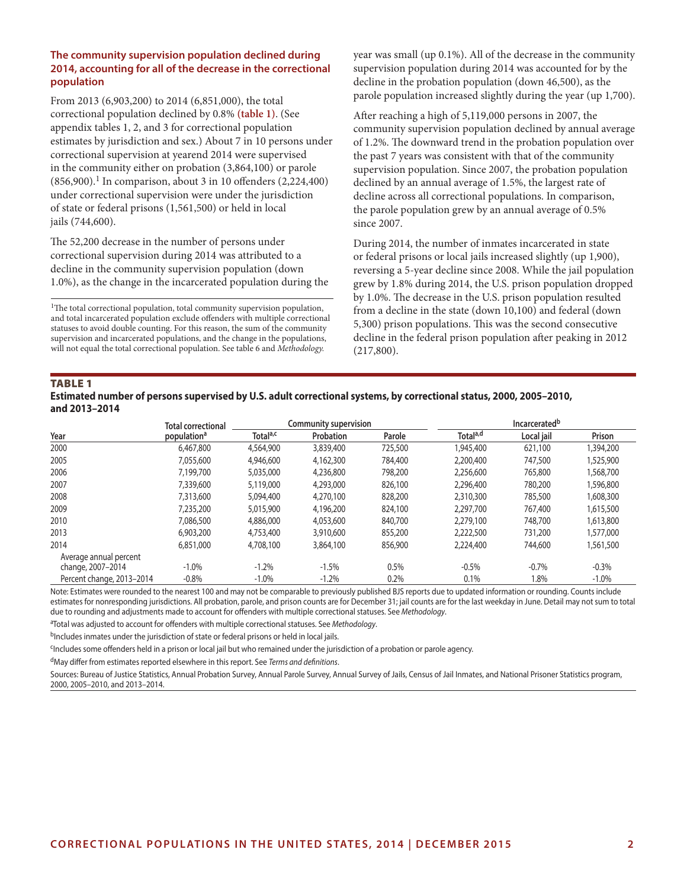### **The community supervision population declined during 2014, accounting for all of the decrease in the correctional population**

From 2013 (6,903,200) to 2014 (6,851,000), the total correctional population declined by 0.8% **(table 1)**. (See appendix tables 1, 2, and 3 for correctional population estimates by jurisdiction and sex.) About 7 in 10 persons under correctional supervision at yearend 2014 were supervised in the community either on probation (3,864,100) or parole  $(856,900).$ <sup>1</sup> In comparison, about 3 in 10 offenders  $(2,224,400)$ under correctional supervision were under the jurisdiction of state or federal prisons (1,561,500) or held in local jails (744,600).

The 52,200 decrease in the number of persons under correctional supervision during 2014 was attributed to a decline in the community supervision population (down 1.0%), as the change in the incarcerated population during the

<sup>1</sup>The total correctional population, total community supervision population, and total incarcerated population exclude offenders with multiple correctional statuses to avoid double counting. For this reason, the sum of the community supervision and incarcerated populations, and the change in the populations, will not equal the total correctional population. See table 6 and *Methodology.*

year was small (up 0.1%). All of the decrease in the community supervision population during 2014 was accounted for by the decline in the probation population (down 46,500), as the parole population increased slightly during the year (up 1,700).

After reaching a high of 5,119,000 persons in 2007, the community supervision population declined by annual average of 1.2%. The downward trend in the probation population over the past 7 years was consistent with that of the community supervision population. Since 2007, the probation population declined by an annual average of 1.5%, the largest rate of decline across all correctional populations. In comparison, the parole population grew by an annual average of 0.5% since 2007.

During 2014, the number of inmates incarcerated in state or federal prisons or local jails increased slightly (up 1,900), reversing a 5-year decline since 2008. While the jail population grew by 1.8% during 2014, the U.S. prison population dropped by 1.0%. The decrease in the U.S. prison population resulted from a decline in the state (down 10,100) and federal (down 5,300) prison populations. This was the second consecutive decline in the federal prison population after peaking in 2012 (217,800).

# Table 1

| Estimated number of persons supervised by U.S. adult correctional systems, by correctional status, 2000, 2005-2010, |  |
|---------------------------------------------------------------------------------------------------------------------|--|
| and 2013-2014                                                                                                       |  |

|                           | <b>Total correctional</b> |                      | Community supervision |         |                      | Incarcerated <sup>b</sup> |           |
|---------------------------|---------------------------|----------------------|-----------------------|---------|----------------------|---------------------------|-----------|
| Year                      | population <sup>a</sup>   | Total <sup>a,c</sup> | Probation             | Parole  | Total <sup>a,d</sup> | Local iail                | Prison    |
| 2000                      | 6,467,800                 | 4,564,900            | 3,839,400             | 725,500 | 1,945,400            | 621,100                   | 1,394,200 |
| 2005                      | 7,055,600                 | 4,946,600            | 4,162,300             | 784,400 | 2,200,400            | 747,500                   | 1,525,900 |
| 2006                      | 7,199,700                 | 5,035,000            | 4,236,800             | 798,200 | 2,256,600            | 765,800                   | 1,568,700 |
| 2007                      | 7,339,600                 | 5,119,000            | 4,293,000             | 826,100 | 2,296,400            | 780,200                   | 1,596,800 |
| 2008                      | 7,313,600                 | 5,094,400            | 4,270,100             | 828,200 | 2,310,300            | 785,500                   | 1,608,300 |
| 2009                      | 7,235,200                 | 5,015,900            | 4,196,200             | 824,100 | 2,297,700            | 767,400                   | 1,615,500 |
| 2010                      | 7,086,500                 | 4,886,000            | 4.053.600             | 840,700 | 2,279,100            | 748,700                   | 1,613,800 |
| 2013                      | 6,903,200                 | 4,753,400            | 3,910,600             | 855,200 | 2,222,500            | 731,200                   | 1,577,000 |
| 2014                      | 6,851,000                 | 4,708,100            | 3,864,100             | 856,900 | 2,224,400            | 744,600                   | 1,561,500 |
| Average annual percent    |                           |                      |                       |         |                      |                           |           |
| change, 2007-2014         | $-1.0%$                   | $-1.2%$              | $-1.5%$               | 0.5%    | $-0.5%$              | $-0.7%$                   | $-0.3%$   |
| Percent change, 2013-2014 | $-0.8%$                   | $-1.0%$              | $-1.2%$               | 0.2%    | $0.1\%$              | 1.8%                      | $-1.0\%$  |

Note: Estimates were rounded to the nearest 100 and may not be comparable to previously published BJS reports due to updated information or rounding. Counts include estimates for nonresponding jurisdictions. All probation, parole, and prison counts are for December 31; jail counts are for the last weekday in June. Detail may not sum to total due to rounding and adjustments made to account for offenders with multiple correctional statuses. See *Methodology*.

a Total was adjusted to account for offenders with multiple correctional statuses. See *Methodology*.

bIncludes inmates under the jurisdiction of state or federal prisons or held in local jails.

<sup>c</sup>Includes some offenders held in a prison or local jail but who remained under the jurisdiction of a probation or parole agency.

dMay differ from estimates reported elsewhere in this report. See *Terms and definitions*.

Sources: Bureau of Justice Statistics, Annual Probation Survey, Annual Parole Survey, Annual Survey of Jails, Census of Jail Inmates, and National Prisoner Statistics program, 2000, 2005–2010, and 2013–2014.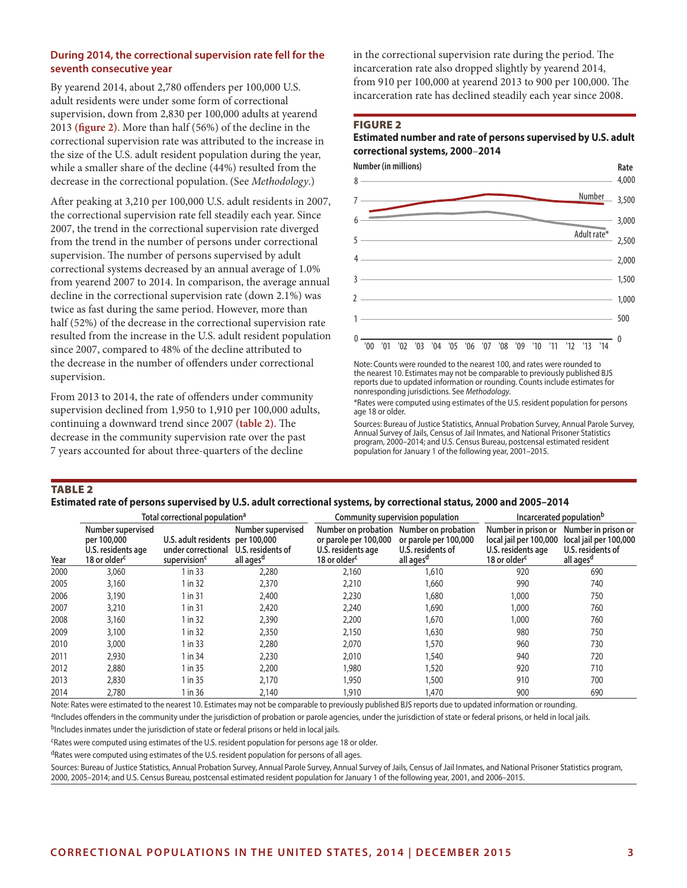# **During 2014, the correctional supervision rate fell for the seventh consecutive year**

By yearend 2014, about 2,780 offenders per 100,000 U.S. adult residents were under some form of correctional supervision, down from 2,830 per 100,000 adults at yearend 2013 **(figure 2)**. More than half (56%) of the decline in the correctional supervision rate was attributed to the increase in the size of the U.S. adult resident population during the year, while a smaller share of the decline (44%) resulted from the decrease in the correctional population.(See *Methodology*.)

After peaking at 3,210 per 100,000 U.S. adult residents in 2007, the correctional supervision rate fell steadily each year. Since 2007, the trend in the correctional supervision rate diverged from the trend in the number of persons under correctional supervision. The number of persons supervised by adult correctional systems decreased by an annual average of 1.0% from yearend 2007 to 2014. In comparison, the average annual decline in the correctional supervision rate (down 2.1%) was twice as fast during the same period. However, more than half (52%) of the decrease in the correctional supervision rate resulted from the increase in the U.S. adult resident population since 2007, compared to 48% of the decline attributed to the decrease in the number of offenders under correctional supervision.

From 2013 to 2014, the rate of offenders under community supervision declined from 1,950 to 1,910 per 100,000 adults, continuing a downward trend since 2007 **(table 2)**. The decrease in the community supervision rate over the past 7 years accounted for about three-quarters of the decline

in the correctional supervision rate during the period. The incarceration rate also dropped slightly by yearend 2014, from 910 per 100,000 at yearend 2013 to 900 per 100,000. The incarceration rate has declined steadily each year since 2008.

### Figure 2

# **Estimated number and rate of persons supervised by U.S. adult correctional systems, 2000**–**2014**



Note: Counts were rounded to the nearest 100, and rates were rounded to the nearest 10. Estimates may not be comparable to previously published BJS reports due to updated information or rounding. Counts include estimates for nonresponding jurisdictions. See *Methodology*.

\*Rates were computed using estimates of the U.S. resident population for persons age 18 or older.

Sources: Bureau of Justice Statistics, Annual Probation Survey, Annual Parole Survey, Annual Survey of Jails, Census of Jail Inmates, and National Prisoner Statistics program, 2000–2014; and U.S. Census Bureau, postcensal estimated resident population for January 1 of the following year, 2001–2015.

# **TABLE 2**

**Estimated rate of persons supervised by U.S. adult correctional systems, by correctional status, 2000 and 2005–2014**

|      |                                                                                    | Total correctional population <sup>a</sup>                                         |                                                                 |                                                                         | Community supervision population                                                                               | Incarcerated population <sup>b</sup>                                                            |                                                                                             |  |
|------|------------------------------------------------------------------------------------|------------------------------------------------------------------------------------|-----------------------------------------------------------------|-------------------------------------------------------------------------|----------------------------------------------------------------------------------------------------------------|-------------------------------------------------------------------------------------------------|---------------------------------------------------------------------------------------------|--|
| Year | Number supervised<br>per 100,000<br>U.S. residents age<br>18 or older <sup>c</sup> | U.S. adult residents per 100,000<br>under correctional<br>supervision <sup>c</sup> | Number supervised<br>U.S. residents of<br>all ages <sup>d</sup> | or parole per 100,000<br>U.S. residents age<br>18 or older <sup>c</sup> | Number on probation Number on probation<br>or parole per 100,000<br>U.S. residents of<br>all ages <sup>d</sup> | Number in prison or<br>local iail per 100,000<br>U.S. residents age<br>18 or older <sup>c</sup> | Number in prison or<br>local jail per 100,000<br>U.S. residents of<br>all ages <sup>d</sup> |  |
| 2000 | 3,060                                                                              | $1$ in $33$                                                                        | 2,280                                                           | 2,160                                                                   | 1,610                                                                                                          | 920                                                                                             | 690                                                                                         |  |
| 2005 | 3,160                                                                              | 1 in 32                                                                            | 2,370                                                           | 2,210                                                                   | 1,660                                                                                                          | 990                                                                                             | 740                                                                                         |  |
| 2006 | 3,190                                                                              | 1 in 31                                                                            | 2,400                                                           | 2,230                                                                   | 1,680                                                                                                          | 1.000                                                                                           | 750                                                                                         |  |
| 2007 | 3,210                                                                              | $1$ in $31$                                                                        | 2,420                                                           | 2,240                                                                   | 1,690                                                                                                          | 1.000                                                                                           | 760                                                                                         |  |
| 2008 | 3,160                                                                              | $1$ in 32                                                                          | 2,390                                                           | 2,200                                                                   | 1,670                                                                                                          | 1,000                                                                                           | 760                                                                                         |  |
| 2009 | 3,100                                                                              | 1 in 32                                                                            | 2,350                                                           | 2,150                                                                   | 1,630                                                                                                          | 980                                                                                             | 750                                                                                         |  |
| 2010 | 3,000                                                                              | 1 in 33                                                                            | 2,280                                                           | 2,070                                                                   | 1,570                                                                                                          | 960                                                                                             | 730                                                                                         |  |
| 2011 | 2,930                                                                              | 1 in 34                                                                            | 2,230                                                           | 2,010                                                                   | 1,540                                                                                                          | 940                                                                                             | 720                                                                                         |  |
| 2012 | 2,880                                                                              | $1$ in $35$                                                                        | 2,200                                                           | 1,980                                                                   | 1,520                                                                                                          | 920                                                                                             | 710                                                                                         |  |
| 2013 | 2,830                                                                              | 1 in 35                                                                            | 2,170                                                           | 1,950                                                                   | 1,500                                                                                                          | 910                                                                                             | 700                                                                                         |  |
| 2014 | 2,780                                                                              | 1 in 36                                                                            | 2.140                                                           | 1,910                                                                   | 1,470                                                                                                          | 900                                                                                             | 690                                                                                         |  |

Note: Rates were estimated to the nearest 10. Estimates may not be comparable to previously published BJS reports due to updated information or rounding.

aIncludes offenders in the community under the jurisdiction of probation or parole agencies, under the jurisdiction of state or federal prisons, or held in local jails.

bIncludes inmates under the jurisdiction of state or federal prisons or held in local jails.

<sup>c</sup>Rates were computed using estimates of the U.S. resident population for persons age 18 or older.

<sup>d</sup>Rates were computed using estimates of the U.S. resident population for persons of all ages.

Sources: Bureau of Justice Statistics, Annual Probation Survey, Annual Parole Survey, Annual Survey of Jails, Census of Jail Inmates, and National Prisoner Statistics program, 2000, 2005–2014; and U.S. Census Bureau, postcensal estimated resident population for January 1 of the following year, 2001, and 2006–2015.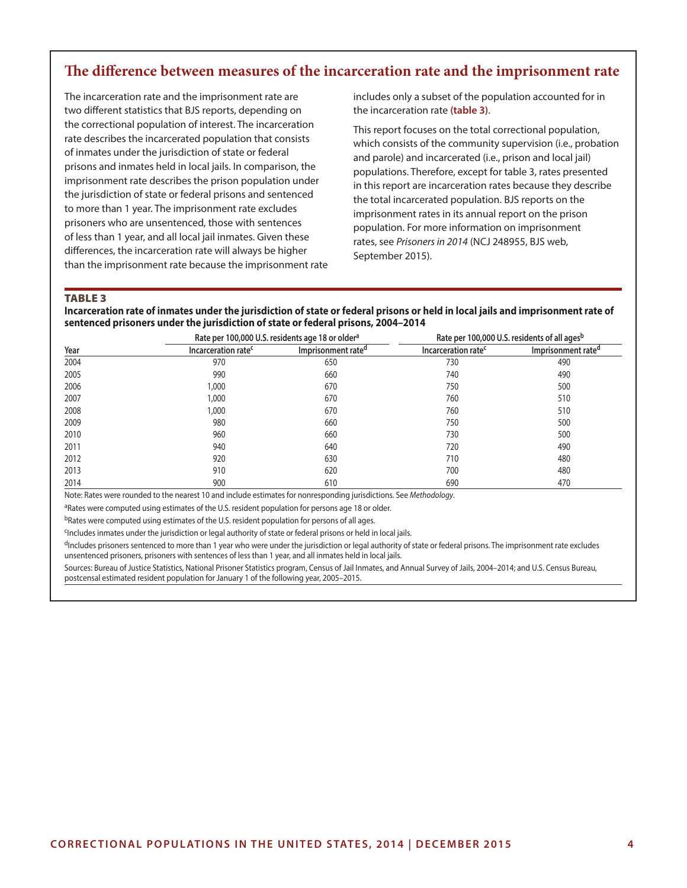# **The difference between measures of the incarceration rate and the imprisonment rate**

The incarceration rate and the imprisonment rate are two different statistics that BJS reports, depending on the correctional population of interest. The incarceration rate describes the incarcerated population that consists of inmates under the jurisdiction of state or federal prisons and inmates held in local jails. In comparison, the imprisonment rate describes the prison population under the jurisdiction of state or federal prisons and sentenced to more than 1 year. The imprisonment rate excludes prisoners who are unsentenced, those with sentences of less than 1 year, and all local jail inmates. Given these differences, the incarceration rate will always be higher than the imprisonment rate because the imprisonment rate includes only a subset of the population accounted for in the incarceration rate **(table 3)**.

This report focuses on the total correctional population, which consists of the community supervision (i.e., probation and parole) and incarcerated (i.e., prison and local jail) populations. Therefore, except for table 3, rates presented in this report are incarceration rates because they describe the total incarcerated population. BJS reports on the imprisonment rates in its annual report on the prison population. For more information on imprisonment rates, see *Prisoners in 2014* (NCJ 248955, BJS web, September 2015).

### TABLE<sub>3</sub>

**Incarceration rate of inmates under the jurisdiction of state or federal prisons or held in local jails and imprisonment rate of sentenced prisoners under the jurisdiction of state or federal prisons, 2004–2014**

|      |                                 | Rate per 100,000 U.S. residents age 18 or older <sup>a</sup> | Rate per 100,000 U.S. residents of all ages <sup>b</sup> |                                |  |
|------|---------------------------------|--------------------------------------------------------------|----------------------------------------------------------|--------------------------------|--|
| Year | Incarceration rate <sup>c</sup> | Imprisonment rate <sup>d</sup>                               | Incarceration rate <sup>c</sup>                          | Imprisonment rate <sup>d</sup> |  |
| 2004 | 970                             | 650                                                          | 730                                                      | 490                            |  |
| 2005 | 990                             | 660                                                          | 740                                                      | 490                            |  |
| 2006 | 1,000                           | 670                                                          | 750                                                      | 500                            |  |
| 2007 | 1,000                           | 670                                                          | 760                                                      | 510                            |  |
| 2008 | 1,000                           | 670                                                          | 760                                                      | 510                            |  |
| 2009 | 980                             | 660                                                          | 750                                                      | 500                            |  |
| 2010 | 960                             | 660                                                          | 730                                                      | 500                            |  |
| 2011 | 940                             | 640                                                          | 720                                                      | 490                            |  |
| 2012 | 920                             | 630                                                          | 710                                                      | 480                            |  |
| 2013 | 910                             | 620                                                          | 700                                                      | 480                            |  |
| 2014 | 900                             | 610                                                          | 690                                                      | 470                            |  |

Note: Rates were rounded to the nearest 10 and include estimates for nonresponding jurisdictions. See *Methodology*.

aRates were computed using estimates of the U.S. resident population for persons age 18 or older.

bRates were computed using estimates of the U.S. resident population for persons of all ages.

Fincludes inmates under the jurisdiction or legal authority of state or federal prisons or held in local jails.

dIncludes prisoners sentenced to more than 1 year who were under the jurisdiction or legal authority of state or federal prisons. The imprisonment rate excludes unsentenced prisoners, prisoners with sentences of less than 1 year, and all inmates held in local jails.

Sources: Bureau of Justice Statistics, National Prisoner Statistics program, Census of Jail Inmates, and Annual Survey of Jails, 2004–2014; and U.S. Census Bureau, postcensal estimated resident population for January 1 of the following year, 2005–2015.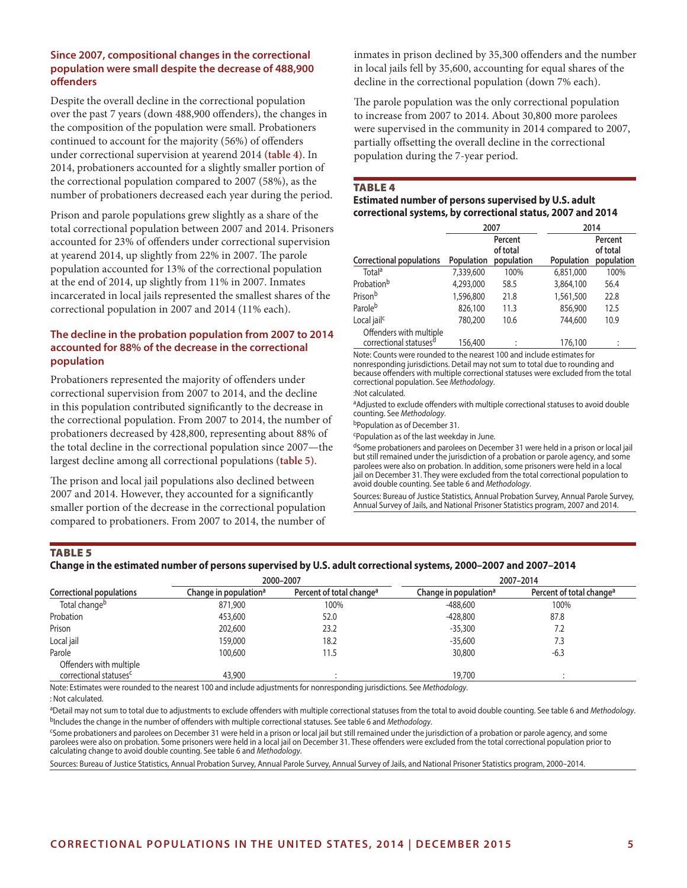### **Since 2007, compositional changes in the correctional population were small despite the decrease of 488,900 offenders**

Despite the overall decline in the correctional population over the past 7 years (down 488,900 offenders), the changes in the composition of the population were small. Probationers continued to account for the majority (56%) of offenders under correctional supervision at yearend 2014 **(table 4)**. In 2014, probationers accounted for a slightly smaller portion of the correctional population compared to 2007 (58%), as the number of probationers decreased each year during the period.

Prison and parole populations grew slightly as a share of the total correctional population between 2007 and 2014. Prisoners accounted for 23% of offenders under correctional supervision at yearend 2014, up slightly from 22% in 2007. The parole population accounted for 13% of the correctional population at the end of 2014, up slightly from 11% in 2007. Inmates incarcerated in local jails represented the smallest shares of the correctional population in 2007 and 2014 (11% each).

# **The decline in the probation population from 2007 to 2014 accounted for 88% of the decrease in the correctional population**

Probationers represented the majority of offenders under correctional supervision from 2007 to 2014, and the decline in this population contributed significantly to the decrease in the correctional population. From 2007 to 2014, the number of probationers decreased by 428,800, representing about 88% of the total decline in the correctional population since 2007—the largest decline among all correctional populations **(table 5)**.

The prison and local jail populations also declined between 2007 and 2014. However, they accounted for a significantly smaller portion of the decrease in the correctional population compared to probationers. From 2007 to 2014, the number of inmates in prison declined by 35,300 offenders and the number in local jails fell by 35,600, accounting for equal shares of the decline in the correctional population (down 7% each).

The parole population was the only correctional population to increase from 2007 to 2014. About 30,800 more parolees were supervised in the community in 2014 compared to 2007, partially offsetting the overall decline in the correctional population during the 7-year period.

### **TABLE 4**

### **Estimated number of persons supervised by U.S. adult correctional systems, by correctional status, 2007 and 2014**

|                                                               |            | 2007                              | 2014       |                                   |  |  |
|---------------------------------------------------------------|------------|-----------------------------------|------------|-----------------------------------|--|--|
|                                                               | Population | Percent<br>of total<br>population | Population | Percent<br>of total<br>population |  |  |
| Correctional populations                                      |            |                                   |            |                                   |  |  |
| Total <sup>a</sup>                                            | 7,339,600  | 100%                              | 6,851,000  | 100%                              |  |  |
| Probationb                                                    | 4,293,000  | 58.5                              | 3,864,100  | 56.4                              |  |  |
| Prisonb                                                       | 1,596,800  | 21.8                              | 1,561,500  | 22.8                              |  |  |
| Parole <sup>b</sup>                                           | 826,100    | 11.3                              | 856,900    | 12.5                              |  |  |
| Local jail <sup>c</sup>                                       | 780,200    | 10.6                              | 744,600    | 10.9                              |  |  |
| Offenders with multiple<br>correctional statuses <sup>d</sup> | 156,400    | ٠                                 | 176,100    |                                   |  |  |

Note: Counts were rounded to the nearest 100 and include estimates for nonresponding jurisdictions. Detail may not sum to total due to rounding and because offenders with multiple correctional statuses were excluded from the total correctional population. See *Methodology*.

:Not calculated.

aAdjusted to exclude offenders with multiple correctional statuses to avoid double counting. See *Methodology*. bPopulation as of December 31.

cPopulation as of the last weekday in June.

dSome probationers and parolees on December 31 were held in a prison or local jail but still remained under the jurisdiction of a probation or parole agency, and some parolees were also on probation. In addition, some prisoners were held in a local jail on December 31. They were excluded from the total correctional population to avoid double counting. See table 6 and *Methodology*.

Sources: Bureau of Justice Statistics, Annual Probation Survey, Annual Parole Survey, Annual Survey of Jails, and National Prisoner Statistics program, 2007 and 2014.

### Table 5

### **Change in the estimated number of persons supervised by U.S. adult correctional systems, 2000–2007 and 2007–2014**

|                                    |                                   | 2000-2007                            | 2007-2014                         |                                      |  |
|------------------------------------|-----------------------------------|--------------------------------------|-----------------------------------|--------------------------------------|--|
| Correctional populations           | Change in population <sup>a</sup> | Percent of total change <sup>a</sup> | Change in population <sup>a</sup> | Percent of total change <sup>a</sup> |  |
| Total change <sup>b</sup>          | 871,900                           | 100%                                 | -488,600                          | 100%                                 |  |
| Probation                          | 453,600                           | 52.0                                 | -428,800                          | 87.8                                 |  |
| Prison                             | 202,600                           | 23.2                                 | $-35,300$                         | 7.2                                  |  |
| Local jail                         | 159,000                           | 18.2                                 | $-35,600$                         | 7.3                                  |  |
| Parole                             | 100,600                           | 11.5                                 | 30,800                            | $-6.3$                               |  |
| Offenders with multiple            |                                   |                                      |                                   |                                      |  |
| correctional statuses <sup>c</sup> | 43,900                            |                                      | 19,700                            |                                      |  |

Note: Estimates were rounded to the nearest 100 and include adjustments for nonresponding jurisdictions. See *Methodology*.

: Not calculated.

aDetail may not sum to total due to adjustments to exclude offenders with multiple correctional statuses from the total to avoid double counting. See table 6 and *Methodology*. <sup>b</sup>Includes the change in the number of offenders with multiple correctional statuses. See table 6 and *Methodology*.

cSome probationers and parolees on December 31 were held in a prison or local jail but still remained under the jurisdiction of a probation or parole agency, and some parolees were also on probation. Some prisoners were held in a local jail on December 31. These offenders were excluded from the total correctional population prior to calculating change to avoid double counting. See table 6 and *Methodology*.

Sources: Bureau of Justice Statistics, Annual Probation Survey, Annual Parole Survey, Annual Survey of Jails, and National Prisoner Statistics program, 2000–2014.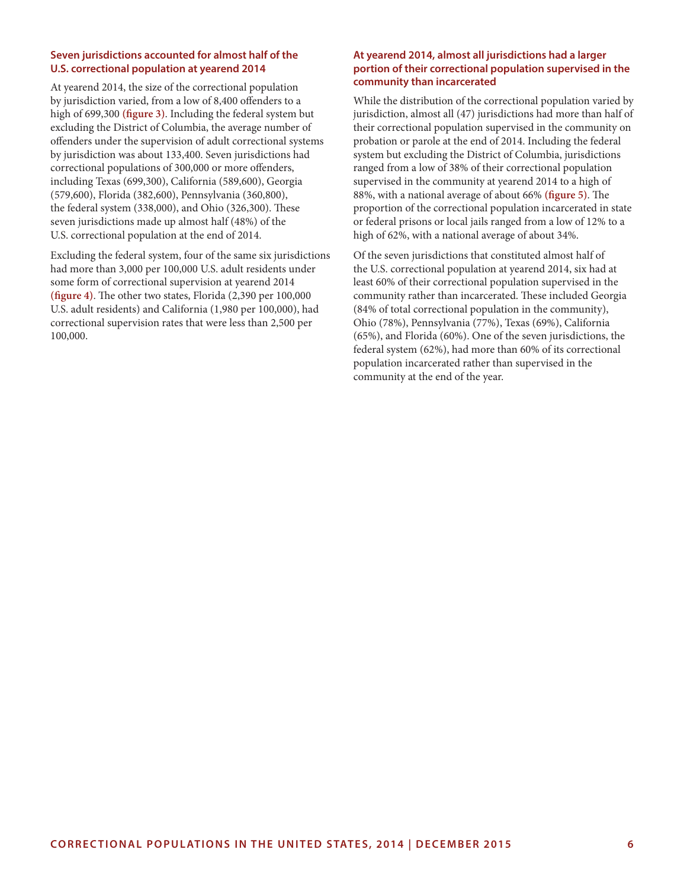# **Seven jurisdictions accounted for almost half of the U.S. correctional population at yearend 2014**

At yearend 2014, the size of the correctional population by jurisdiction varied, from a low of 8,400 offenders to a high of 699,300 **(figure 3)**. Including the federal system but excluding the District of Columbia, the average number of offenders under the supervision of adult correctional systems by jurisdiction was about 133,400. Seven jurisdictions had correctional populations of 300,000 or more offenders, including Texas (699,300), California (589,600), Georgia (579,600), Florida (382,600), Pennsylvania (360,800), the federal system (338,000), and Ohio (326,300). These seven jurisdictions made up almost half (48%) of the U.S. correctional population at the end of 2014.

Excluding the federal system, four of the same six jurisdictions had more than 3,000 per 100,000 U.S. adult residents under some form of correctional supervision at yearend 2014 **(figure 4)**. The other two states, Florida (2,390 per 100,000 U.S. adult residents) and California (1,980 per 100,000), had correctional supervision rates that were less than 2,500 per 100,000.

# **At yearend 2014, almost all jurisdictions had a larger portion of their correctional population supervised in the community than incarcerated**

While the distribution of the correctional population varied by jurisdiction, almost all (47) jurisdictions had more than half of their correctional population supervised in the community on probation or parole at the end of 2014. Including the federal system but excluding the District of Columbia, jurisdictions ranged from a low of 38% of their correctional population supervised in the community at yearend 2014 to a high of 88%, with a national average of about 66% **(figure 5)**. The proportion of the correctional population incarcerated in state or federal prisons or local jails ranged from a low of 12% to a high of 62%, with a national average of about 34%.

Of the seven jurisdictions that constituted almost half of the U.S. correctional population at yearend 2014, six had at least 60% of their correctional population supervised in the community rather than incarcerated. These included Georgia (84% of total correctional population in the community), Ohio (78%), Pennsylvania (77%), Texas (69%), California (65%), and Florida (60%). One of the seven jurisdictions, the federal system (62%), had more than 60% of its correctional population incarcerated rather than supervised in the community at the end of the year.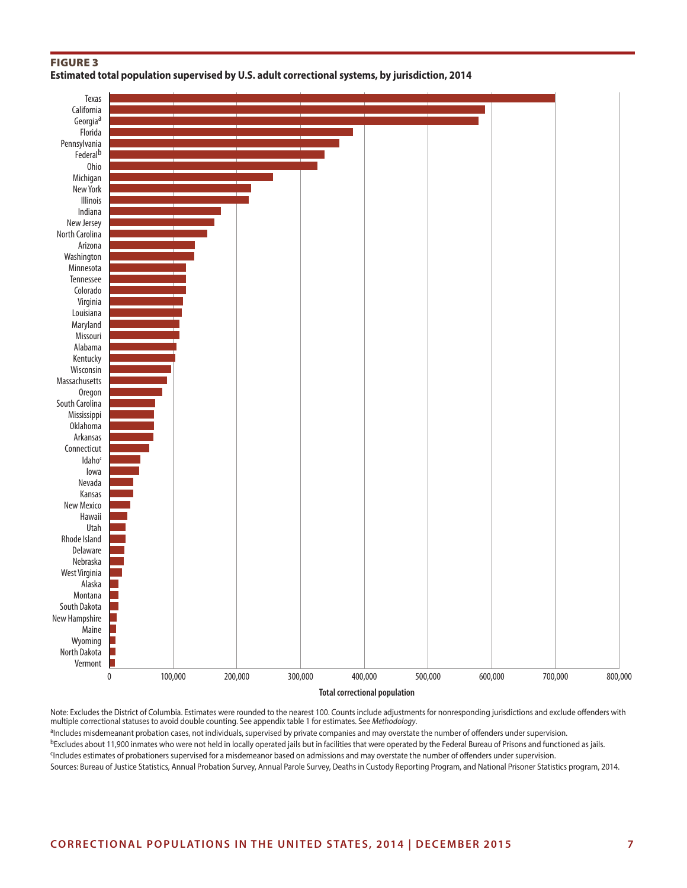### Figure 3

**Estimated total population supervised by U.S. adult correctional systems, by jurisdiction, 2014**



Note: Excludes the District of Columbia. Estimates were rounded to the nearest 100. Counts include adjustments for nonresponding jurisdictions and exclude offenders with multiple correctional statuses to avoid double count alncludes misdemeanant probation cases, not individuals, supervised by private companies and may overstate the number of offenders under supervision. bExcludes about 11,900 inmates who were not held in locally operated jails but in facilities that were operated by the Federal Bureau of Prisons and functioned as jails. <sup>c</sup>Includes estimates of probationers supervised for a misdemeanor based on admissions and may overstate the number of offenders under supervision.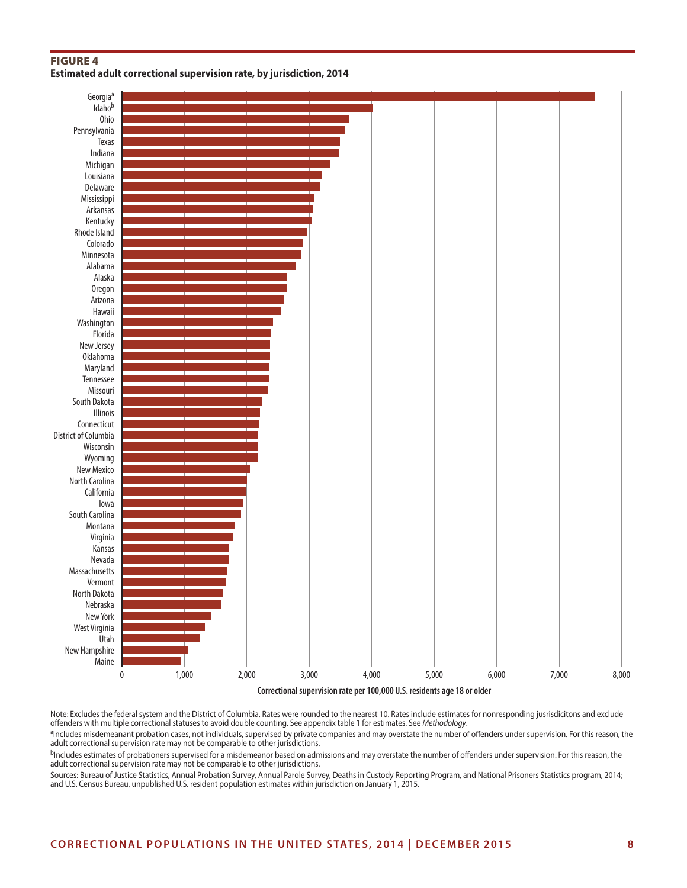# Figure 4

**Estimated adult correctional supervision rate, by jurisdiction, 2014**





Note: Excludes the federal system and the District of Columbia. Rates were rounded to the nearest 10. Rates include estimates for nonresponding jusrisdicitons and exclude

offenders with multiple correctional statuses to avoid double counting. See appendix table 1 for estimates. See *Methodology.*<br><sup>a</sup>Includes misdemeanant probation cases, not individuals, supervised by private companies and adult correctional supervision rate may not be comparable to other jurisdictions.

<sup>b</sup>Includes estimates of probationers supervised for a misdemeanor based on admissions and may overstate the number of offenders under supervision. For this reason, the adult correctional supervision rate may not be comparable to other jurisdictions.

Sources: Bureau of Justice Statistics, Annual Probation Survey, Annual Parole Survey, Deaths in Custody Reporting Program, and National Prisoners Statistics program, 2014; and U.S. Census Bureau, unpublished U.S. resident population estimates within jurisdiction on January 1, 2015.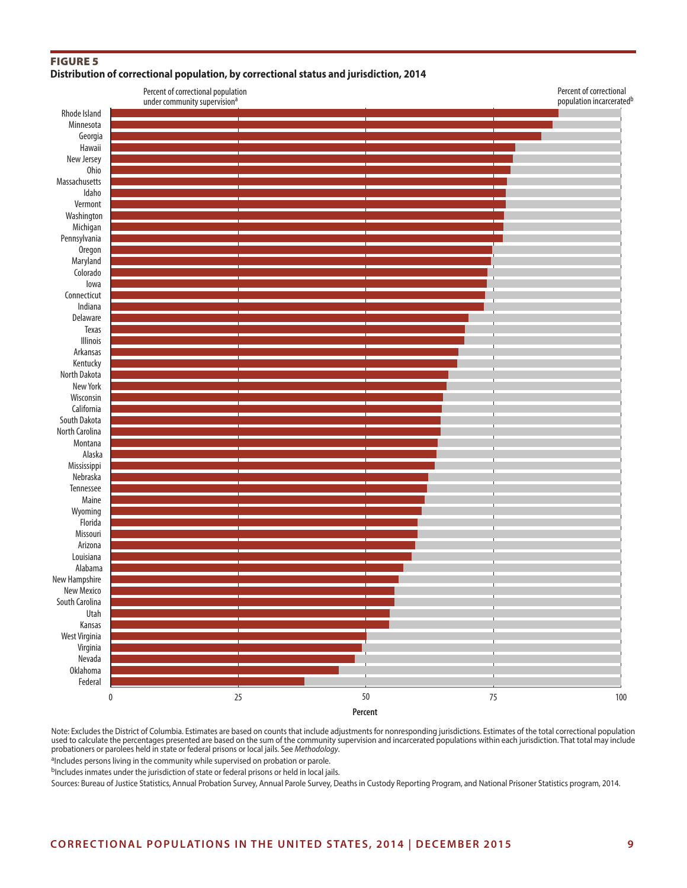# Figure 5 **Distribution of correctional population, by correctional status and jurisdiction, 2014**



Note: Excludes the District of Columbia. Estimates are based on counts that include adjustments for nonresponding jurisdictions. Estimates of the total correctional population used to calculate the percentages presented are based on the sum of the community supervision and incarcerated populations within each jurisdiction. That total may include probationers or parolees held in state or federal prisons or local jails. See *Methodology*.

aIncludes persons living in the community while supervised on probation or parole.

b<sub>Includes</sub> inmates under the jurisdiction of state or federal prisons or held in local jails.

Sources: Bureau of Justice Statistics, Annual Probation Survey, Annual Parole Survey, Deaths in Custody Reporting Program, and National Prisoner Statistics program, 2014.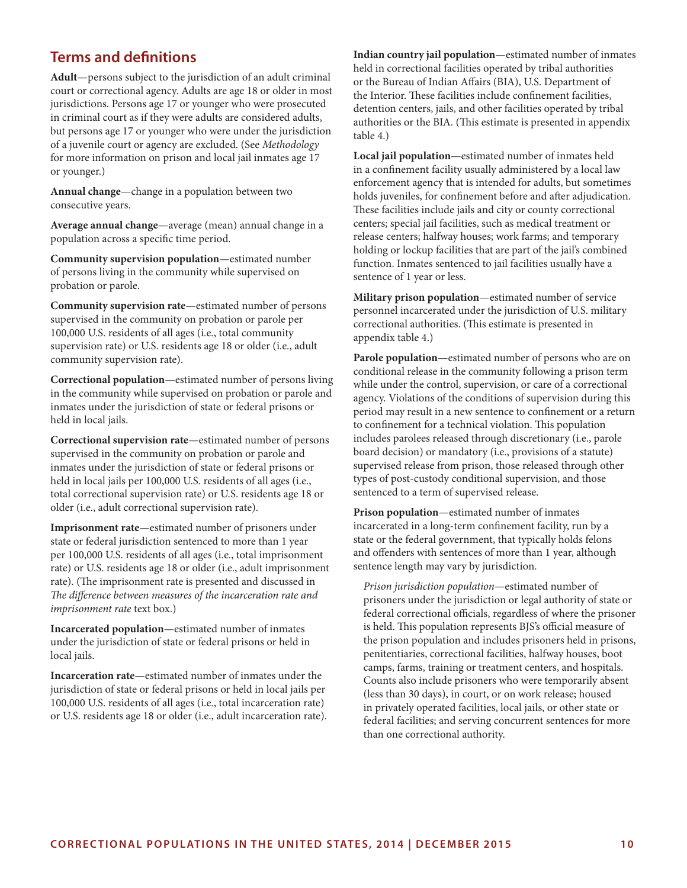# **Terms and definitions**

**Adult**—persons subject to the jurisdiction of an adult criminal court or correctional agency. Adults are age 18 or older in most jurisdictions. Persons age 17 or younger who were prosecuted in criminal court as if they were adults are considered adults, but persons age 17 or younger who were under the jurisdiction of a juvenile court or agency are excluded. (See *Methodology* for more information on prison and local jail inmates age 17 or younger.)

**Annual change**—change in a population between two consecutive years.

**Average annual change**—average (mean) annual change in a population across a specific time period.

**Community supervision population**—estimated number of persons living in the community while supervised on probation or parole.

**Community supervision rate**—estimated number of persons supervised in the community on probation or parole per 100,000 U.S. residents of all ages (i.e., total community supervision rate) or U.S. residents age 18 or older (i.e., adult community supervision rate).

**Correctional population**—estimated number of persons living in the community while supervised on probation or parole and inmates under the jurisdiction of state or federal prisons or held in local jails.

**Correctional supervision rate**—estimated number of persons supervised in the community on probation or parole and inmates under the jurisdiction of state or federal prisons or held in local jails per 100,000 U.S. residents of all ages (i.e., total correctional supervision rate) or U.S. residents age 18 or older (i.e., adult correctional supervision rate).

**Imprisonment rate**—estimated number of prisoners under state or federal jurisdiction sentenced to more than 1 year per 100,000 U.S. residents of all ages (i.e., total imprisonment rate) or U.S. residents age 18 or older (i.e., adult imprisonment rate). (The imprisonment rate is presented and discussed in *The difference between measures of the incarceration rate and imprisonment rate* text box.)

**Incarcerated population**—estimated number of inmates under the jurisdiction of state or federal prisons or held in local jails.

**Incarceration rate**—estimated number of inmates under the jurisdiction of state or federal prisons or held in local jails per 100,000 U.S. residents of all ages (i.e., total incarceration rate) or U.S. residents age 18 or older (i.e., adult incarceration rate). **Indian country jail population**—estimated number of inmates held in correctional facilities operated by tribal authorities or the Bureau of Indian Affairs (BIA), U.S. Department of the Interior. These facilities include confinement facilities, detention centers, jails, and other facilities operated by tribal authorities or the BIA. (This estimate is presented in appendix table 4.)

**Local jail population**—estimated number of inmates held in a confinement facility usually administered by a local law enforcement agency that is intended for adults, but sometimes holds juveniles, for confinement before and after adjudication. These facilities include jails and city or county correctional centers; special jail facilities, such as medical treatment or release centers; halfway houses; work farms; and temporary holding or lockup facilities that are part of the jail's combined function. Inmates sentenced to jail facilities usually have a sentence of 1 year or less.

**Military prison population**—estimated number of service personnel incarcerated under the jurisdiction of U.S. military correctional authorities. (This estimate is presented in appendix table 4.)

**Parole population**—estimated number of persons who are on conditional release in the community following a prison term while under the control, supervision, or care of a correctional agency. Violations of the conditions of supervision during this period may result in a new sentence to confinement or a return to confinement for a technical violation. This population includes parolees released through discretionary (i.e., parole board decision) or mandatory (i.e., provisions of a statute) supervised release from prison, those released through other types of post-custody conditional supervision, and those sentenced to a term of supervised release.

**Prison population**—estimated number of inmates incarcerated in a long-term confinement facility, run by a state or the federal government, that typically holds felons and offenders with sentences of more than 1 year, although sentence length may vary by jurisdiction.

*Prison jurisdiction population*—estimated number of prisoners under the jurisdiction or legal authority of state or federal correctional officials, regardless of where the prisoner is held. This population represents BJS's official measure of the prison population and includes prisoners held in prisons, penitentiaries, correctional facilities, halfway houses, boot camps, farms, training or treatment centers, and hospitals. Counts also include prisoners who were temporarily absent (less than 30 days), in court, or on work release; housed in privately operated facilities, local jails, or other state or federal facilities; and serving concurrent sentences for more than one correctional authority.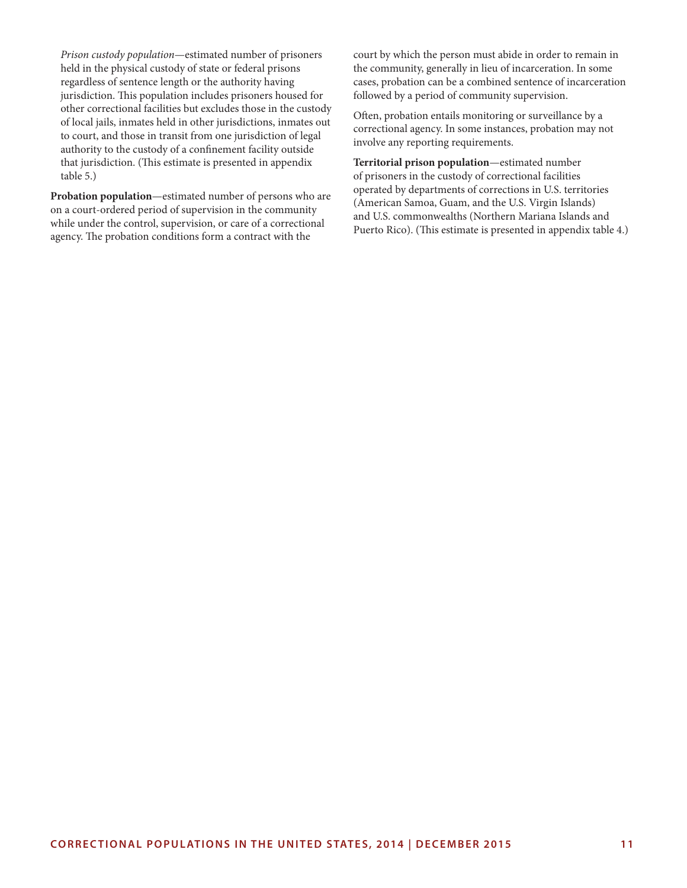*Prison custody population*—estimated number of prisoners held in the physical custody of state or federal prisons regardless of sentence length or the authority having jurisdiction. This population includes prisoners housed for other correctional facilities but excludes those in the custody of local jails, inmates held in other jurisdictions, inmates out to court, and those in transit from one jurisdiction of legal authority to the custody of a confinement facility outside that jurisdiction. (This estimate is presented in appendix table 5.)

**Probation population**—estimated number of persons who are on a court-ordered period of supervision in the community while under the control, supervision, or care of a correctional agency. The probation conditions form a contract with the

court by which the person must abide in order to remain in the community, generally in lieu of incarceration. In some cases, probation can be a combined sentence of incarceration followed by a period of community supervision.

Often, probation entails monitoring or surveillance by a correctional agency. In some instances, probation may not involve any reporting requirements.

**Territorial prison population**—estimated number of prisoners in the custody of correctional facilities operated by departments of corrections in U.S. territories (American Samoa, Guam, and the U.S. Virgin Islands) and U.S. commonwealths (Northern Mariana Islands and Puerto Rico). (This estimate is presented in appendix table 4.)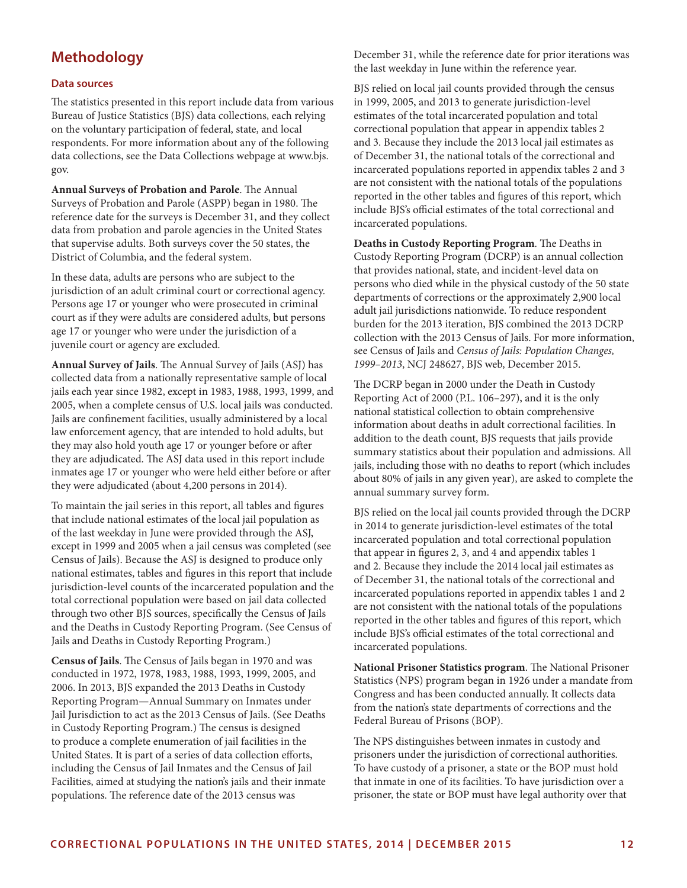# **Methodology**

# **Data sources**

The statistics presented in this report include data from various Bureau of Justice Statistics (BJS) data collections, each relying on the voluntary participation of federal, state, and local respondents. For more information about any of the following data collections, see the Data Collections webpage at [www.bjs.](http://www.bjs.gov) [gov](http://www.bjs.gov).

**Annual Surveys of Probation and Parole**. The Annual Surveys of Probation and Parole (ASPP) began in 1980. The reference date for the surveys is December 31, and they collect data from probation and parole agencies in the United States that supervise adults. Both surveys cover the 50 states, the District of Columbia, and the federal system.

In these data, adults are persons who are subject to the jurisdiction of an adult criminal court or correctional agency. Persons age 17 or younger who were prosecuted in criminal court as if they were adults are considered adults, but persons age 17 or younger who were under the jurisdiction of a juvenile court or agency are excluded.

**Annual Survey of Jails**. The Annual Survey of Jails (ASJ) has collected data from a nationally representative sample of local jails each year since 1982, except in 1983, 1988, 1993, 1999, and 2005, when a complete census of U.S. local jails was conducted. Jails are confinement facilities, usually administered by a local law enforcement agency, that are intended to hold adults, but they may also hold youth age 17 or younger before or after they are adjudicated. The ASJ data used in this report include inmates age 17 or younger who were held either before or after they were adjudicated (about 4,200 persons in 2014).

To maintain the jail series in this report, all tables and figures that include national estimates of the local jail population as of the last weekday in June were provided through the ASJ, except in 1999 and 2005 when a jail census was completed (see Census of Jails). Because the ASJ is designed to produce only national estimates, tables and figures in this report that include jurisdiction-level counts of the incarcerated population and the total correctional population were based on jail data collected through two other BJS sources, specifically the Census of Jails and the Deaths in Custody Reporting Program. (See Census of Jails and Deaths in Custody Reporting Program.)

**Census of Jails**. The Census of Jails began in 1970 and was conducted in 1972, 1978, 1983, 1988, 1993, 1999, 2005, and 2006. In 2013, BJS expanded the 2013 Deaths in Custody Reporting Program—Annual Summary on Inmates under Jail Jurisdiction to act as the 2013 Census of Jails. (See Deaths in Custody Reporting Program.) The census is designed to produce a complete enumeration of jail facilities in the United States. It is part of a series of data collection efforts, including the Census of Jail Inmates and the Census of Jail Facilities, aimed at studying the nation's jails and their inmate populations. The reference date of the 2013 census was

December 31, while the reference date for prior iterations was the last weekday in June within the reference year.

BJS relied on local jail counts provided through the census in 1999, 2005, and 2013 to generate jurisdiction-level estimates of the total incarcerated population and total correctional population that appear in appendix tables 2 and 3. Because they include the 2013 local jail estimates as of December 31, the national totals of the correctional and incarcerated populations reported in appendix tables 2 and 3 are not consistent with the national totals of the populations reported in the other tables and figures of this report, which include BJS's official estimates of the total correctional and incarcerated populations.

**Deaths in Custody Reporting Program**. The Deaths in Custody Reporting Program (DCRP) is an annual collection that provides national, state, and incident-level data on persons who died while in the physical custody of the 50 state departments of corrections or the approximately 2,900 local adult jail jurisdictions nationwide. To reduce respondent burden for the 2013 iteration, BJS combined the 2013 DCRP collection with the 2013 Census of Jails. For more information, see Census of Jails and *Census of Jails: Population Changes, 1999–2013*, NCJ 248627, BJS web, December 2015.

The DCRP began in 2000 under the Death in Custody Reporting Act of 2000 (P.L. 106–297), and it is the only national statistical collection to obtain comprehensive information about deaths in adult correctional facilities. In addition to the death count, BJS requests that jails provide summary statistics about their population and admissions. All jails, including those with no deaths to report (which includes about 80% of jails in any given year), are asked to complete the annual summary survey form.

BJS relied on the local jail counts provided through the DCRP in 2014 to generate jurisdiction-level estimates of the total incarcerated population and total correctional population that appear in figures 2, 3, and 4 and appendix tables 1 and 2. Because they include the 2014 local jail estimates as of December 31, the national totals of the correctional and incarcerated populations reported in appendix tables 1 and 2 are not consistent with the national totals of the populations reported in the other tables and figures of this report, which include BJS's official estimates of the total correctional and incarcerated populations.

**National Prisoner Statistics program**. The National Prisoner Statistics (NPS) program began in 1926 under a mandate from Congress and has been conducted annually. It collects data from the nation's state departments of corrections and the Federal Bureau of Prisons (BOP).

The NPS distinguishes between inmates in custody and prisoners under the jurisdiction of correctional authorities. To have custody of a prisoner, a state or the BOP must hold that inmate in one of its facilities. To have jurisdiction over a prisoner, the state or BOP must have legal authority over that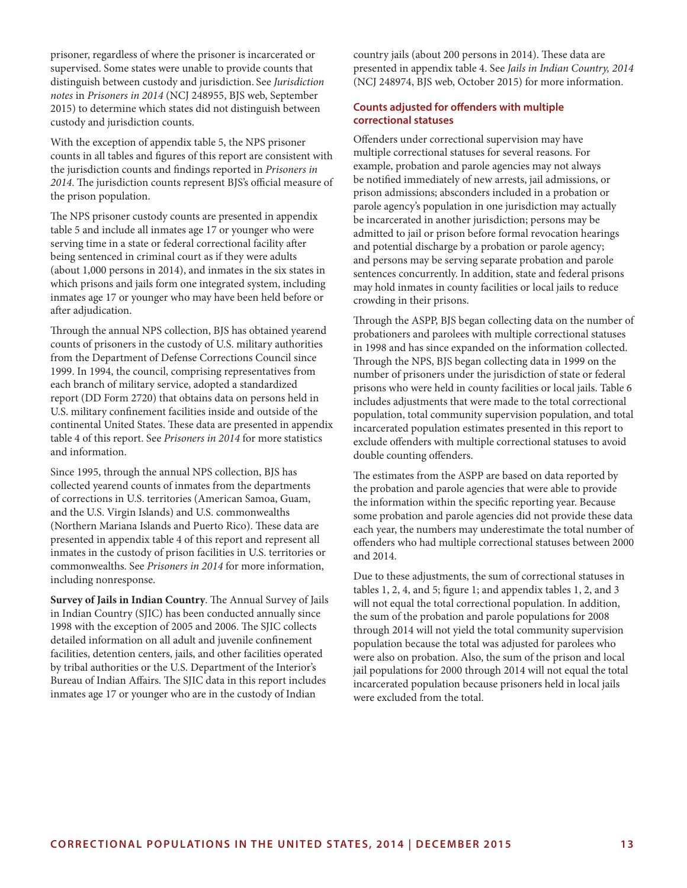prisoner, regardless of where the prisoner is incarcerated or supervised. Some states were unable to provide counts that distinguish between custody and jurisdiction. See *Jurisdiction notes* in *Prisoners in 2014* (NCJ 248955, BJS web, September 2015) to determine which states did not distinguish between custody and jurisdiction counts.

With the exception of appendix table 5, the NPS prisoner counts in all tables and figures of this report are consistent with the jurisdiction counts and findings reported in *Prisoners in 2014*. The jurisdiction counts represent BJS's official measure of the prison population.

The NPS prisoner custody counts are presented in appendix table 5 and include all inmates age 17 or younger who were serving time in a state or federal correctional facility after being sentenced in criminal court as if they were adults (about 1,000 persons in 2014), and inmates in the six states in which prisons and jails form one integrated system, including inmates age 17 or younger who may have been held before or after adjudication.

Through the annual NPS collection, BJS has obtained yearend counts of prisoners in the custody of U.S. military authorities from the Department of Defense Corrections Council since 1999. In 1994, the council, comprising representatives from each branch of military service, adopted a standardized report (DD Form 2720) that obtains data on persons held in U.S. military confinement facilities inside and outside of the continental United States. These data are presented in appendix table 4 of this report. See *Prisoners in 2014* for more statistics and information.

Since 1995, through the annual NPS collection, BJS has collected yearend counts of inmates from the departments of corrections in U.S. territories (American Samoa, Guam, and the U.S. Virgin Islands) and U.S. commonwealths (Northern Mariana Islands and Puerto Rico). These data are presented in appendix table 4 of this report and represent all inmates in the custody of prison facilities in U.S. territories or commonwealths. See *Prisoners in 2014* for more information, including nonresponse.

**Survey of Jails in Indian Country**. The Annual Survey of Jails in Indian Country (SJIC) has been conducted annually since 1998 with the exception of 2005 and 2006. The SJIC collects detailed information on all adult and juvenile confinement facilities, detention centers, jails, and other facilities operated by tribal authorities or the U.S. Department of the Interior's Bureau of Indian Affairs. The SJIC data in this report includes inmates age 17 or younger who are in the custody of Indian

country jails (about 200 persons in 2014). These data are presented in appendix table 4. See *Jails in Indian Country, 2014*  (NCJ 248974, BJS web, October 2015) for more information.

# **Counts adjusted for offenders with multiple correctional statuses**

Offenders under correctional supervision may have multiple correctional statuses for several reasons. For example, probation and parole agencies may not always be notified immediately of new arrests, jail admissions, or prison admissions; absconders included in a probation or parole agency's population in one jurisdiction may actually be incarcerated in another jurisdiction; persons may be admitted to jail or prison before formal revocation hearings and potential discharge by a probation or parole agency; and persons may be serving separate probation and parole sentences concurrently. In addition, state and federal prisons may hold inmates in county facilities or local jails to reduce crowding in their prisons.

Through the ASPP, BJS began collecting data on the number of probationers and parolees with multiple correctional statuses in 1998 and has since expanded on the information collected. Through the NPS, BJS began collecting data in 1999 on the number of prisoners under the jurisdiction of state or federal prisons who were held in county facilities or local jails. Table 6 includes adjustments that were made to the total correctional population, total community supervision population, and total incarcerated population estimates presented in this report to exclude offenders with multiple correctional statuses to avoid double counting offenders.

The estimates from the ASPP are based on data reported by the probation and parole agencies that were able to provide the information within the specific reporting year. Because some probation and parole agencies did not provide these data each year, the numbers may underestimate the total number of offenders who had multiple correctional statuses between 2000 and 2014.

Due to these adjustments, the sum of correctional statuses in tables 1, 2, 4, and 5; figure 1; and appendix tables 1, 2, and 3 will not equal the total correctional population. In addition, the sum of the probation and parole populations for 2008 through 2014 will not yield the total community supervision population because the total was adjusted for parolees who were also on probation. Also, the sum of the prison and local jail populations for 2000 through 2014 will not equal the total incarcerated population because prisoners held in local jails were excluded from the total.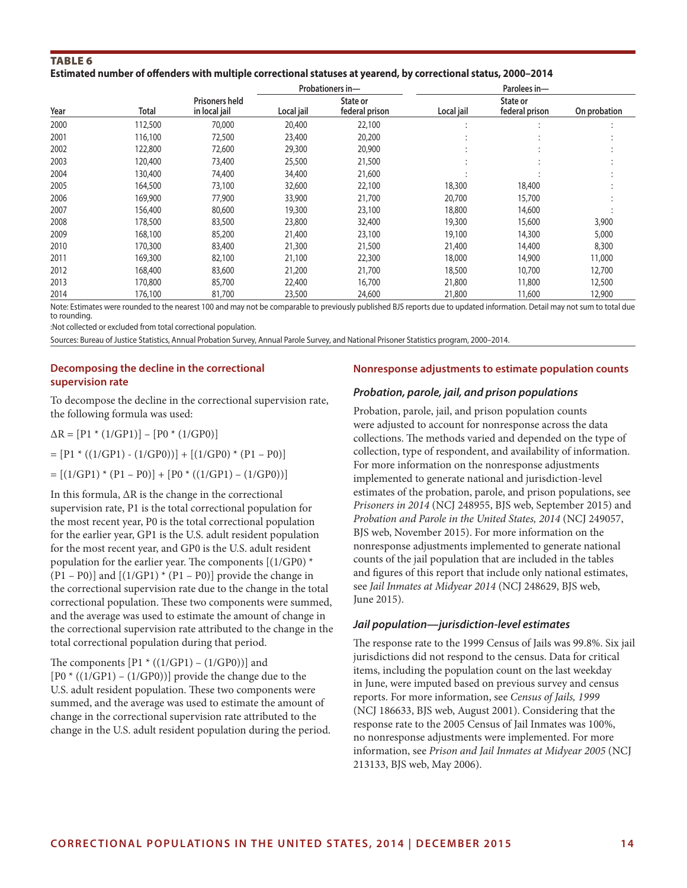# TABLE<sub>6</sub>

### **Estimated number of offenders with multiple correctional statuses at yearend, by correctional status, 2000–2014**

|      |         |                                 |            | Probationers in-           | Parolees in- |                            |              |  |
|------|---------|---------------------------------|------------|----------------------------|--------------|----------------------------|--------------|--|
| Year | Total   | Prisoners held<br>in local jail | Local jail | State or<br>federal prison | Local jail   | State or<br>federal prison | On probation |  |
| 2000 | 112,500 | 70,000                          | 20,400     | 22,100                     |              | $\bullet$                  |              |  |
| 2001 | 116,100 | 72,500                          | 23,400     | 20,200                     |              |                            |              |  |
| 2002 | 122,800 | 72,600                          | 29,300     | 20,900                     |              |                            |              |  |
| 2003 | 120,400 | 73,400                          | 25,500     | 21,500                     |              |                            |              |  |
| 2004 | 130,400 | 74,400                          | 34,400     | 21,600                     |              |                            |              |  |
| 2005 | 164,500 | 73,100                          | 32,600     | 22,100                     | 18,300       | 18,400                     |              |  |
| 2006 | 169,900 | 77,900                          | 33,900     | 21,700                     | 20,700       | 15,700                     |              |  |
| 2007 | 156,400 | 80,600                          | 19,300     | 23,100                     | 18,800       | 14,600                     |              |  |
| 2008 | 178,500 | 83,500                          | 23,800     | 32,400                     | 19,300       | 15,600                     | 3,900        |  |
| 2009 | 168,100 | 85,200                          | 21,400     | 23,100                     | 19,100       | 14,300                     | 5,000        |  |
| 2010 | 170,300 | 83,400                          | 21,300     | 21,500                     | 21,400       | 14,400                     | 8,300        |  |
| 2011 | 169,300 | 82,100                          | 21,100     | 22,300                     | 18,000       | 14,900                     | 11,000       |  |
| 2012 | 168,400 | 83,600                          | 21,200     | 21,700                     | 18,500       | 10,700                     | 12,700       |  |
| 2013 | 170,800 | 85,700                          | 22,400     | 16,700                     | 21,800       | 11,800                     | 12,500       |  |
| 2014 | 176,100 | 81,700                          | 23,500     | 24,600                     | 21,800       | 11,600                     | 12,900       |  |

Note: Estimates were rounded to the nearest 100 and may not be comparable to previously published BJS reports due to updated information. Detail may not sum to total due to rounding.

:Not collected or excluded from total correctional population.

Sources: Bureau of Justice Statistics, Annual Probation Survey, Annual Parole Survey, and National Prisoner Statistics program, 2000–2014.

# **Decomposing the decline in the correctional supervision rate**

To decompose the decline in the correctional supervision rate, the following formula was used:

 $\Delta R = [P1 * (1/GP1)] - [P0 * (1/GP0)]$ 

 $=[P1 * ((1/GP1) - (1/GP0))] + [(1/GP0) * (P1 - P0)]$ 

 $=[(1/GP1) * (P1 - P0)] + [P0 * ((1/GP1) - (1/GP0))]$ 

In this formula, ΔR is the change in the correctional supervision rate, P1 is the total correctional population for the most recent year, P0 is the total correctional population for the earlier year, GP1 is the U.S. adult resident population for the most recent year, and GP0 is the U.S. adult resident population for the earlier year. The components  $[(1/GP0) *$  $(P1 - P0)$ ] and  $[(1/GP1) * (P1 - P0)]$  provide the change in the correctional supervision rate due to the change in the total correctional population. These two components were summed, and the average was used to estimate the amount of change in the correctional supervision rate attributed to the change in the total correctional population during that period.

The components  $[P1 * ((1/GPL) - (1/GPO))]$  and  $[P0 * ((1/GP1) - (1/GP0))]$  provide the change due to the U.S. adult resident population. These two components were summed, and the average was used to estimate the amount of change in the correctional supervision rate attributed to the change in the U.S. adult resident population during the period.

#### **Nonresponse adjustments to estimate population counts**

### *Probation, parole, jail, and prison populations*

Probation, parole, jail, and prison population counts were adjusted to account for nonresponse across the data collections. The methods varied and depended on the type of collection, type of respondent, and availability of information. For more information on the nonresponse adjustments implemented to generate national and jurisdiction-level estimates of the probation, parole, and prison populations, see *Prisoners in 2014* (NCJ 248955, BJS web, September 2015) and *Probation and Parole in the United States, 2014* (NCJ 249057, BJS web, November 2015). For more information on the nonresponse adjustments implemented to generate national counts of the jail population that are included in the tables and figures of this report that include only national estimates, see *Jail Inmates at Midyear 2014* (NCJ 248629, BJS web, June 2015).

#### *Jail population—jurisdiction-level estimates*

The response rate to the 1999 Census of Jails was 99.8%. Six jail jurisdictions did not respond to the census. Data for critical items, including the population count on the last weekday in June, were imputed based on previous survey and census reports. For more information, see *Census of Jails, 1999* (NCJ 186633, BJS web, August 2001). Considering that the response rate to the 2005 Census of Jail Inmates was 100%, no nonresponse adjustments were implemented. For more information, see *Prison and Jail Inmates at Midyear 2005* (NCJ 213133, BJS web, May 2006).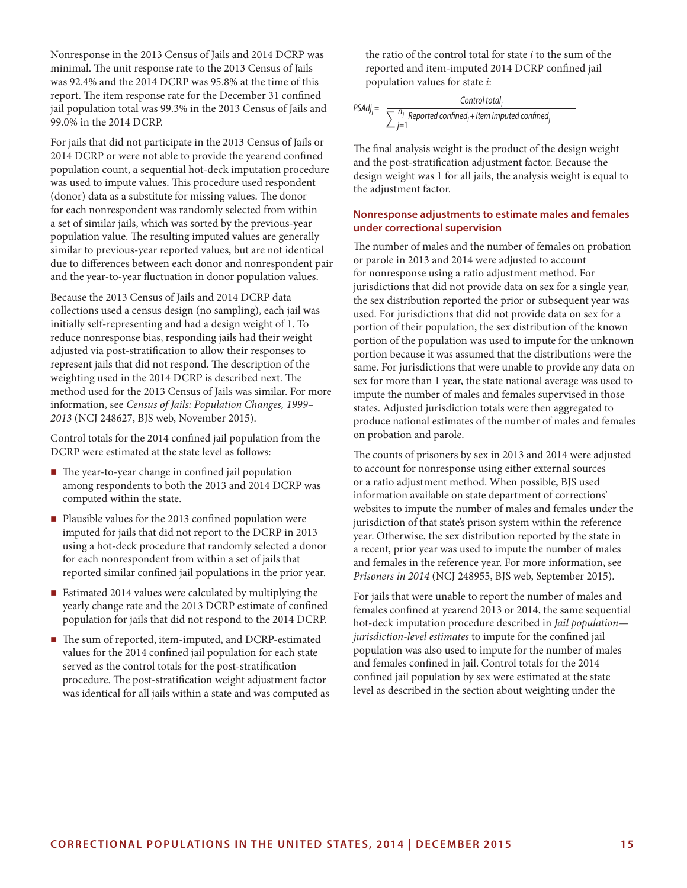Nonresponse in the 2013 Census of Jails and 2014 DCRP was minimal. The unit response rate to the 2013 Census of Jails was 92.4% and the 2014 DCRP was 95.8% at the time of this report. The item response rate for the December 31 confined jail population total was 99.3% in the 2013 Census of Jails and 99.0% in the 2014 DCRP.

For jails that did not participate in the 2013 Census of Jails or 2014 DCRP or were not able to provide the yearend confined population count, a sequential hot-deck imputation procedure was used to impute values. This procedure used respondent (donor) data as a substitute for missing values. The donor for each nonrespondent was randomly selected from within a set of similar jails, which was sorted by the previous-year population value. The resulting imputed values are generally similar to previous-year reported values, but are not identical due to differences between each donor and nonrespondent pair and the year-to-year fluctuation in donor population values.

Because the 2013 Census of Jails and 2014 DCRP data collections used a census design (no sampling), each jail was initially self-representing and had a design weight of 1. To reduce nonresponse bias, responding jails had their weight adjusted via post-stratification to allow their responses to represent jails that did not respond. The description of the weighting used in the 2014 DCRP is described next. The method used for the 2013 Census of Jails was similar. For more information, see *Census of Jails: Population Changes, 1999– 2013* (NCJ 248627, BJS web, November 2015).

Control totals for the 2014 confined jail population from the DCRP were estimated at the state level as follows:

- The year-to-year change in confined jail population among respondents to both the 2013 and 2014 DCRP was computed within the state.
- Plausible values for the 2013 confined population were imputed for jails that did not report to the DCRP in 2013 using a hot-deck procedure that randomly selected a donor for each nonrespondent from within a set of jails that reported similar confined jail populations in the prior year.
- Estimated 2014 values were calculated by multiplying the yearly change rate and the 2013 DCRP estimate of confined population for jails that did not respond to the 2014 DCRP.
- The sum of reported, item-imputed, and DCRP-estimated values for the 2014 confined jail population for each state served as the control totals for the post-stratification procedure. The post-stratification weight adjustment factor was identical for all jails within a state and was computed as

the ratio of the control total for state *i* to the sum of the reported and item-imputed 2014 DCRP confined jail population values for state *i*:

$$
PSAdji = \frac{Control totali}{\sum_{j=1}^{n_i} Reported confinedj + Item imputed confinedj}
$$

The final analysis weight is the product of the design weight and the post-stratification adjustment factor. Because the design weight was 1 for all jails, the analysis weight is equal to the adjustment factor.

### **Nonresponse adjustments to estimate males and females under correctional supervision**

The number of males and the number of females on probation or parole in 2013 and 2014 were adjusted to account for nonresponse using a ratio adjustment method. For jurisdictions that did not provide data on sex for a single year, the sex distribution reported the prior or subsequent year was used. For jurisdictions that did not provide data on sex for a portion of their population, the sex distribution of the known portion of the population was used to impute for the unknown portion because it was assumed that the distributions were the same. For jurisdictions that were unable to provide any data on sex for more than 1 year, the state national average was used to impute the number of males and females supervised in those states. Adjusted jurisdiction totals were then aggregated to produce national estimates of the number of males and females on probation and parole.

The counts of prisoners by sex in 2013 and 2014 were adjusted to account for nonresponse using either external sources or a ratio adjustment method. When possible, BJS used information available on state department of corrections' websites to impute the number of males and females under the jurisdiction of that state's prison system within the reference year. Otherwise, the sex distribution reported by the state in a recent, prior year was used to impute the number of males and females in the reference year. For more information, see *Prisoners in 2014* (NCJ 248955, BJS web, September 2015).

For jails that were unable to report the number of males and females confined at yearend 2013 or 2014, the same sequential hot-deck imputation procedure described in *Jail population jurisdiction-level estimates* to impute for the confined jail population was also used to impute for the number of males and females confined in jail. Control totals for the 2014 confined jail population by sex were estimated at the state level as described in the section about weighting under the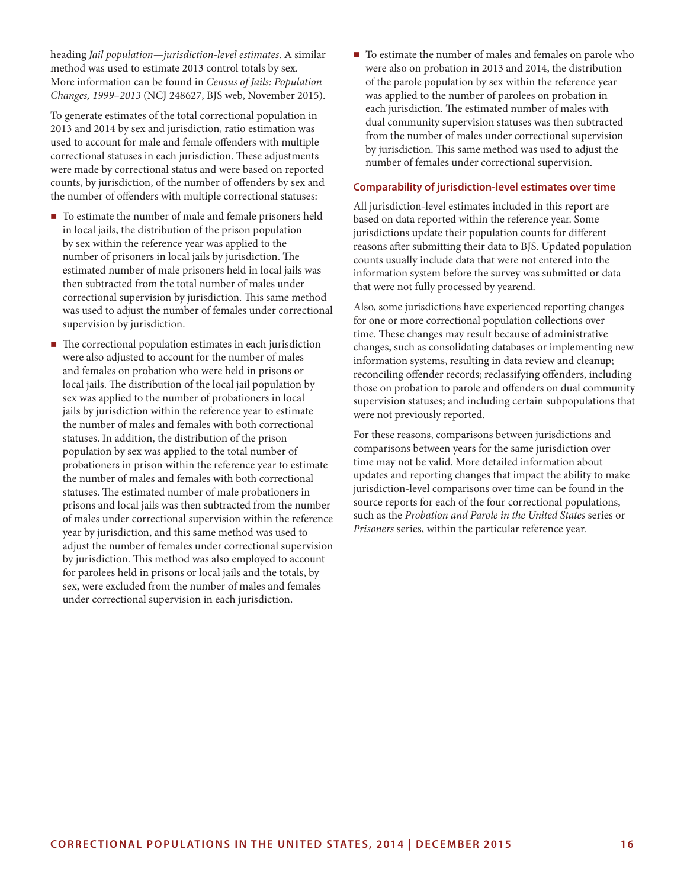heading *Jail population—jurisdiction-level estimates*. A similar method was used to estimate 2013 control totals by sex. More information can be found in *Census of Jails: Population Changes, 1999–2013* (NCJ 248627, BJS web, November 2015).

To generate estimates of the total correctional population in 2013 and 2014 by sex and jurisdiction, ratio estimation was used to account for male and female offenders with multiple correctional statuses in each jurisdiction. These adjustments were made by correctional status and were based on reported counts, by jurisdiction, of the number of offenders by sex and the number of offenders with multiple correctional statuses:

- To estimate the number of male and female prisoners held in local jails, the distribution of the prison population by sex within the reference year was applied to the number of prisoners in local jails by jurisdiction. The estimated number of male prisoners held in local jails was then subtracted from the total number of males under correctional supervision by jurisdiction. This same method was used to adjust the number of females under correctional supervision by jurisdiction.
- $\blacksquare$  The correctional population estimates in each jurisdiction were also adjusted to account for the number of males and females on probation who were held in prisons or local jails. The distribution of the local jail population by sex was applied to the number of probationers in local jails by jurisdiction within the reference year to estimate the number of males and females with both correctional statuses. In addition, the distribution of the prison population by sex was applied to the total number of probationers in prison within the reference year to estimate the number of males and females with both correctional statuses. The estimated number of male probationers in prisons and local jails was then subtracted from the number of males under correctional supervision within the reference year by jurisdiction, and this same method was used to adjust the number of females under correctional supervision by jurisdiction. This method was also employed to account for parolees held in prisons or local jails and the totals, by sex, were excluded from the number of males and females under correctional supervision in each jurisdiction.

■ To estimate the number of males and females on parole who were also on probation in 2013 and 2014, the distribution of the parole population by sex within the reference year was applied to the number of parolees on probation in each jurisdiction. The estimated number of males with dual community supervision statuses was then subtracted from the number of males under correctional supervision by jurisdiction. This same method was used to adjust the number of females under correctional supervision.

### **Comparability of jurisdiction-level estimates over time**

All jurisdiction-level estimates included in this report are based on data reported within the reference year. Some jurisdictions update their population counts for different reasons after submitting their data to BJS. Updated population counts usually include data that were not entered into the information system before the survey was submitted or data that were not fully processed by yearend.

Also, some jurisdictions have experienced reporting changes for one or more correctional population collections over time. These changes may result because of administrative changes, such as consolidating databases or implementing new information systems, resulting in data review and cleanup; reconciling offender records; reclassifying offenders, including those on probation to parole and offenders on dual community supervision statuses; and including certain subpopulations that were not previously reported.

For these reasons, comparisons between jurisdictions and comparisons between years for the same jurisdiction over time may not be valid. More detailed information about updates and reporting changes that impact the ability to make jurisdiction-level comparisons over time can be found in the source reports for each of the four correctional populations, such as the *Probation and Parole in the United States* series or *Prisoners* series, within the particular reference year.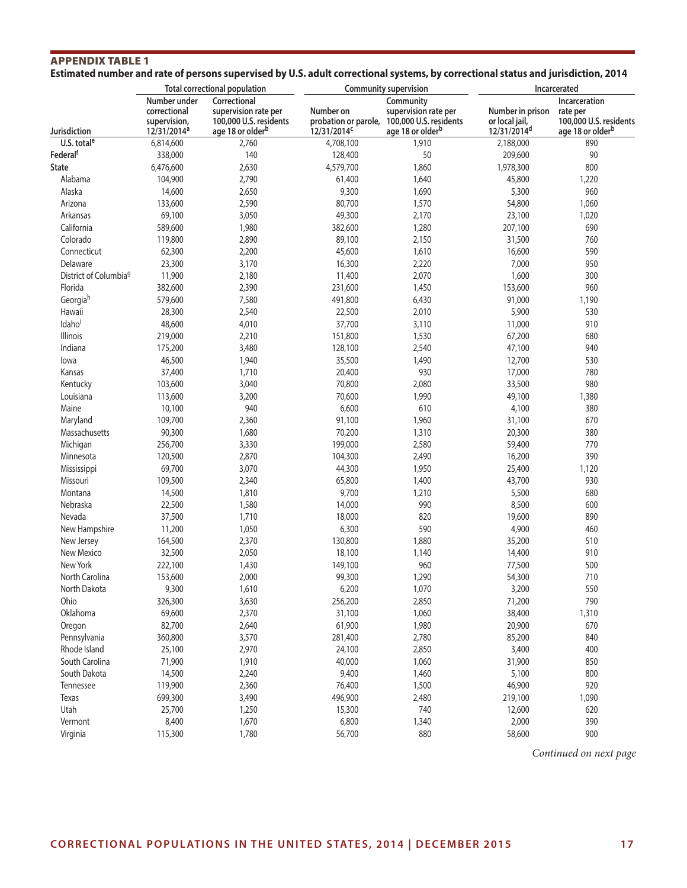# Appendix Table 1 **Estimated number and rate of persons supervised by U.S. adult correctional systems, by correctional status and jurisdiction, 2014**

| <b>Total correctional population</b><br>Number under<br>Correctional<br>Community<br>correctional<br>Number on<br>supervision rate per<br>Number in prison<br>supervision rate per<br>100,000 U.S. residents<br>probation or parole, 100,000 U.S. residents<br>supervision,<br>or local jail,<br>12/31/2014 <sup>c</sup><br>12/31/2014 <sup>d</sup><br>Jurisdiction<br>12/31/2014 <sup>a</sup><br>age 18 or older <sup>b</sup><br>age 18 or older <sup>b</sup> | Incarceration<br>rate per<br>100,000 U.S. residents<br>age 18 or older <sup>b</sup> |
|----------------------------------------------------------------------------------------------------------------------------------------------------------------------------------------------------------------------------------------------------------------------------------------------------------------------------------------------------------------------------------------------------------------------------------------------------------------|-------------------------------------------------------------------------------------|
|                                                                                                                                                                                                                                                                                                                                                                                                                                                                |                                                                                     |
| U.S. total <sup>e</sup><br>4,708,100<br>1,910<br>6,814,600<br>2,760<br>2,188,000                                                                                                                                                                                                                                                                                                                                                                               | 890                                                                                 |
| Federalf<br>140<br>50<br>338,000<br>209,600<br>128,400                                                                                                                                                                                                                                                                                                                                                                                                         | 90                                                                                  |
| 2,630<br>4,579,700<br>1,860<br>1,978,300<br><b>State</b><br>6,476,600                                                                                                                                                                                                                                                                                                                                                                                          | 800                                                                                 |
| Alabama<br>104,900<br>2,790<br>61,400<br>1,640<br>45,800                                                                                                                                                                                                                                                                                                                                                                                                       | 1,220                                                                               |
| Alaska<br>2,650<br>9,300<br>1,690<br>5,300<br>14,600                                                                                                                                                                                                                                                                                                                                                                                                           | 960                                                                                 |
| 133,600<br>2,590<br>80,700<br>1,570<br>54,800<br>Arizona                                                                                                                                                                                                                                                                                                                                                                                                       | 1,060                                                                               |
| Arkansas<br>69,100<br>3,050<br>49,300<br>2,170<br>23,100                                                                                                                                                                                                                                                                                                                                                                                                       | 1,020                                                                               |
| California<br>1,980<br>1,280<br>207,100<br>589,600<br>382,600                                                                                                                                                                                                                                                                                                                                                                                                  | 690                                                                                 |
| Colorado<br>2,890<br>89,100<br>2,150<br>119,800<br>31,500                                                                                                                                                                                                                                                                                                                                                                                                      | 760                                                                                 |
| Connecticut<br>62,300<br>2,200<br>45,600<br>1,610<br>16,600                                                                                                                                                                                                                                                                                                                                                                                                    | 590                                                                                 |
| Delaware<br>23,300<br>3,170<br>16,300<br>2,220<br>7,000                                                                                                                                                                                                                                                                                                                                                                                                        | 950                                                                                 |
| 11,900<br>1,600<br>District of Columbia <sup>9</sup><br>2,180<br>11,400<br>2,070                                                                                                                                                                                                                                                                                                                                                                               | 300                                                                                 |
| Florida<br>382,600<br>2,390<br>231,600<br>1,450<br>153,600                                                                                                                                                                                                                                                                                                                                                                                                     | 960                                                                                 |
| Georgiah<br>7,580<br>491,800<br>6,430<br>91,000<br>579,600                                                                                                                                                                                                                                                                                                                                                                                                     | 1,190                                                                               |
| Hawaii<br>2,540<br>28,300<br>22,500<br>2,010<br>5,900                                                                                                                                                                                                                                                                                                                                                                                                          | 530                                                                                 |
| Idahoi<br>48,600<br>4,010<br>37,700<br>3,110<br>11,000                                                                                                                                                                                                                                                                                                                                                                                                         | 910                                                                                 |
| Illinois<br>219,000<br>2,210<br>151,800<br>1,530<br>67,200                                                                                                                                                                                                                                                                                                                                                                                                     | 680                                                                                 |
| Indiana<br>3,480<br>128,100<br>2,540<br>47,100<br>175,200                                                                                                                                                                                                                                                                                                                                                                                                      | 940                                                                                 |
| 46,500<br>1,940<br>35,500<br>12,700<br>lowa<br>1,490                                                                                                                                                                                                                                                                                                                                                                                                           | 530                                                                                 |
| 930<br>37,400<br>20,400<br>17,000<br>Kansas<br>1,710                                                                                                                                                                                                                                                                                                                                                                                                           | 780                                                                                 |
| Kentucky<br>103,600<br>3,040<br>70,800<br>2,080<br>33,500                                                                                                                                                                                                                                                                                                                                                                                                      | 980                                                                                 |
| Louisiana<br>113,600<br>3,200<br>70,600<br>1,990<br>49,100                                                                                                                                                                                                                                                                                                                                                                                                     | 1,380                                                                               |
| 940<br>610<br>Maine<br>10,100<br>6,600<br>4,100                                                                                                                                                                                                                                                                                                                                                                                                                | 380                                                                                 |
| 109,700<br>2,360<br>91,100<br>1,960<br>31,100<br>Maryland                                                                                                                                                                                                                                                                                                                                                                                                      | 670                                                                                 |
| Massachusetts<br>1,680<br>90,300<br>70,200<br>1,310<br>20,300                                                                                                                                                                                                                                                                                                                                                                                                  | 380                                                                                 |
| 256,700<br>3,330<br>199,000<br>2,580<br>Michigan<br>59,400                                                                                                                                                                                                                                                                                                                                                                                                     | 770                                                                                 |
| 2,870<br>2,490<br>Minnesota<br>120,500<br>104,300<br>16,200                                                                                                                                                                                                                                                                                                                                                                                                    | 390                                                                                 |
| 69,700<br>3,070<br>44,300<br>1,950<br>25,400<br>Mississippi                                                                                                                                                                                                                                                                                                                                                                                                    | 1,120                                                                               |
| 109,500<br>2,340<br>65,800<br>43,700<br>Missouri<br>1,400                                                                                                                                                                                                                                                                                                                                                                                                      | 930                                                                                 |
| 14,500<br>1,810<br>9,700<br>1,210<br>5,500<br>Montana                                                                                                                                                                                                                                                                                                                                                                                                          | 680                                                                                 |
| 14,000<br>990<br>8,500<br>Nebraska<br>22,500<br>1,580                                                                                                                                                                                                                                                                                                                                                                                                          | 600                                                                                 |
| Nevada<br>37,500<br>1,710<br>18,000<br>820<br>19,600                                                                                                                                                                                                                                                                                                                                                                                                           | 890                                                                                 |
| New Hampshire<br>11,200<br>1,050<br>6,300<br>590<br>4,900                                                                                                                                                                                                                                                                                                                                                                                                      | 460                                                                                 |
| 164,500<br>2,370<br>130,800<br>1,880<br>New Jersey<br>35,200                                                                                                                                                                                                                                                                                                                                                                                                   | 510                                                                                 |
| New Mexico<br>32,500<br>2,050<br>18,100<br>1,140<br>14,400                                                                                                                                                                                                                                                                                                                                                                                                     | 910                                                                                 |
| New York<br>222,100<br>1,430<br>149,100<br>960<br>77,500                                                                                                                                                                                                                                                                                                                                                                                                       | 500                                                                                 |
| North Carolina<br>2,000<br>99,300<br>1,290<br>54,300<br>153,600                                                                                                                                                                                                                                                                                                                                                                                                | 710                                                                                 |
| North Dakota<br>9,300<br>1,610<br>6,200<br>1,070<br>3,200                                                                                                                                                                                                                                                                                                                                                                                                      | 550                                                                                 |
| Ohio<br>3,630<br>256,200<br>2,850<br>326,300<br>71,200                                                                                                                                                                                                                                                                                                                                                                                                         | 790                                                                                 |
| Oklahoma<br>69,600<br>2,370<br>31,100<br>1,060<br>38,400                                                                                                                                                                                                                                                                                                                                                                                                       | 1,310                                                                               |
| 82,700<br>2,640<br>61,900<br>1,980<br>20,900<br>Oregon                                                                                                                                                                                                                                                                                                                                                                                                         | 670                                                                                 |
| Pennsylvania<br>360,800<br>3,570<br>281,400<br>2,780<br>85,200                                                                                                                                                                                                                                                                                                                                                                                                 | 840                                                                                 |
| Rhode Island<br>25,100<br>2,970<br>24,100<br>2,850<br>3,400                                                                                                                                                                                                                                                                                                                                                                                                    | 400                                                                                 |
| South Carolina<br>71,900<br>40,000<br>31,900<br>1,910<br>1,060                                                                                                                                                                                                                                                                                                                                                                                                 | 850                                                                                 |
| South Dakota<br>14,500<br>2,240<br>9,400<br>1,460<br>5,100                                                                                                                                                                                                                                                                                                                                                                                                     | 800                                                                                 |
| Tennessee<br>119,900<br>2,360<br>76,400<br>1,500<br>46,900                                                                                                                                                                                                                                                                                                                                                                                                     | 920                                                                                 |
| 699,300<br>3,490<br>496,900<br>2,480<br>219,100<br>Texas                                                                                                                                                                                                                                                                                                                                                                                                       | 1,090                                                                               |
| Utah<br>25,700<br>1,250<br>15,300<br>740<br>12,600                                                                                                                                                                                                                                                                                                                                                                                                             | 620                                                                                 |
| 8,400<br>1,670<br>6,800<br>1,340<br>2,000<br>Vermont                                                                                                                                                                                                                                                                                                                                                                                                           | 390                                                                                 |
| 880<br>115,300<br>1,780<br>56,700<br>58,600<br>Virginia                                                                                                                                                                                                                                                                                                                                                                                                        | 900                                                                                 |

*Continued on next page*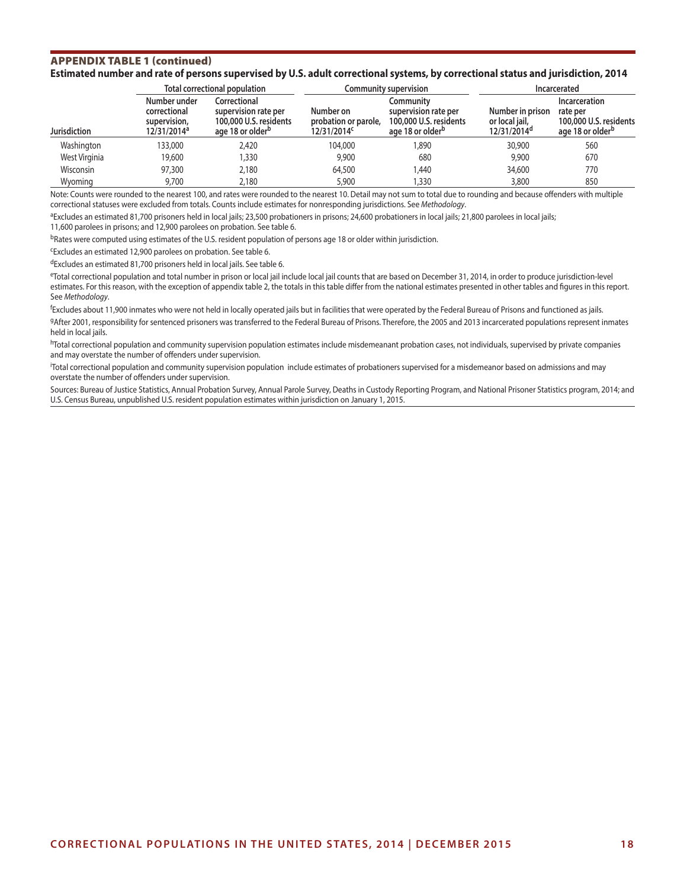### APPENDIX TABLE 1 (continued) **Estimated number and rate of persons supervised by U.S. adult correctional systems, by correctional status and jurisdiction, 2014**

|                     |                                                             | Total correctional population                                                                  |                                                              | <b>Community supervision</b>                                                                | Incarcerated                                                  |                                                                                            |  |
|---------------------|-------------------------------------------------------------|------------------------------------------------------------------------------------------------|--------------------------------------------------------------|---------------------------------------------------------------------------------------------|---------------------------------------------------------------|--------------------------------------------------------------------------------------------|--|
| <b>Jurisdiction</b> | Number under<br>correctional<br>supervision,<br>12/31/2014ª | Correctional<br>supervision rate per<br>100,000 U.S. residents<br>age 18 or older <sup>b</sup> | Number on<br>probation or parole,<br>12/31/2014 <sup>c</sup> | Community<br>supervision rate per<br>100,000 U.S. residents<br>age 18 or older <sup>b</sup> | Number in prison<br>or local jail,<br>12/31/2014 <sup>d</sup> | <b>Incarceration</b><br>rate per<br>100,000 U.S. residents<br>age 18 or older <sup>b</sup> |  |
| Washington          | 133,000                                                     | 2,420                                                                                          | 104,000                                                      | ,890                                                                                        | 30,900                                                        | 560                                                                                        |  |
| West Virginia       | 19,600                                                      | .330                                                                                           | 9,900                                                        | 680                                                                                         | 9,900                                                         | 670                                                                                        |  |
| Wisconsin           | 97,300                                                      | 2,180                                                                                          | 64,500                                                       | ,440                                                                                        | 34,600                                                        | 770                                                                                        |  |
| Wyoming             | 9,700                                                       | 2,180                                                                                          | 5,900                                                        | ,330                                                                                        | 3,800                                                         | 850                                                                                        |  |

Note: Counts were rounded to the nearest 100, and rates were rounded to the nearest 10. Detail may not sum to total due to rounding and because offenders with multiple correctional statuses were excluded from totals. Counts include estimates for nonresponding jurisdictions. See *Methodology*.

<sup>a</sup>Excludes an estimated 81,700 prisoners held in local jails; 23,500 probationers in prisons; 24,600 probationers in local jails; 21,800 parolees in local jails;

11,600 parolees in prisons; and 12,900 parolees on probation. See table 6.

<sup>b</sup>Rates were computed using estimates of the U.S. resident population of persons age 18 or older within jurisdiction.

cExcludes an estimated 12,900 parolees on probation. See table 6.

dExcludes an estimated 81,700 prisoners held in local jails. See table 6.

eTotal correctional population and total number in prison or local jail include local jail counts that are based on December 31, 2014, in order to produce jurisdiction-level estimates. For this reason, with the exception of appendix table 2, the totals in this table differ from the national estimates presented in other tables and figures in this report. See *Methodology*.

f Excludes about 11,900 inmates who were not held in locally operated jails but in facilities that were operated by the Federal Bureau of Prisons and functioned as jails. gAfter 2001, responsibility for sentenced prisoners was transferred to the Federal Bureau of Prisons. Therefore, the 2005 and 2013 incarcerated populations represent inmates held in local jails.

<sup>h</sup>Total correctional population and community supervision population estimates include misdemeanant probation cases, not individuals, supervised by private companies and may overstate the number of offenders under supervision.

i Total correctional population and community supervision population include estimates of probationers supervised for a misdemeanor based on admissions and may overstate the number of offenders under supervision.

Sources: Bureau of Justice Statistics, Annual Probation Survey, Annual Parole Survey, Deaths in Custody Reporting Program, and National Prisoner Statistics program, 2014; and U.S. Census Bureau, unpublished U.S. resident population estimates within jurisdiction on January 1, 2015.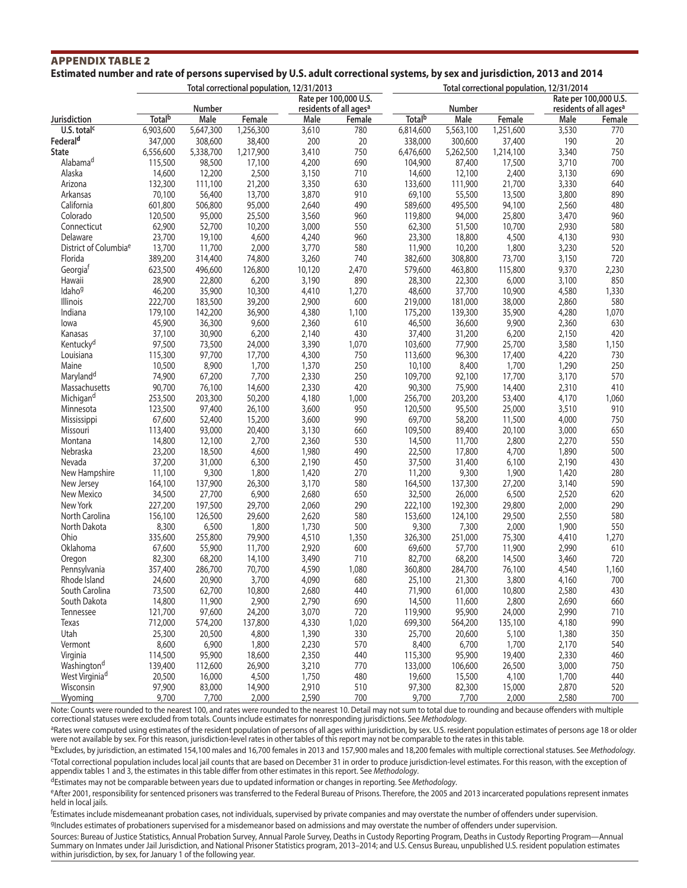### Appendix Table 2 **Estimated number and rate of persons supervised by U.S. adult correctional systems, by sex and jurisdiction, 2013 and 2014**

|                                   |                    |           | Total correctional population, 12/31/2013 |        |                                                             |                           |           | Total correctional population, 12/31/2014 |       |                                                             |  |
|-----------------------------------|--------------------|-----------|-------------------------------------------|--------|-------------------------------------------------------------|---------------------------|-----------|-------------------------------------------|-------|-------------------------------------------------------------|--|
|                                   |                    | Number    |                                           |        | Rate per 100,000 U.S.<br>residents of all ages <sup>a</sup> |                           | Number    |                                           |       | Rate per 100,000 U.S.<br>residents of all ages <sup>a</sup> |  |
| Jurisdiction                      | Total <sup>b</sup> | Male      | Female                                    | Male   | Female                                                      | <b>Total</b> <sup>b</sup> | Male      | Female                                    | Male  | Female                                                      |  |
| U.S. total <sup>c</sup>           | 6,903,600          | 5,647,300 | 1,256,300                                 | 3,610  | 780                                                         | 6,814,600                 | 5,563,100 | 1,251,600                                 | 3,530 | 770                                                         |  |
| Federal <sup>d</sup>              | 347,000            | 308,600   | 38,400                                    | 200    | 20                                                          | 338,000                   | 300,600   | 37,400                                    | 190   | 20                                                          |  |
| <b>State</b>                      | 6,556,600          | 5,338,700 | 1,217,900                                 | 3,410  | 750                                                         | 6,476,600                 | 5,262,500 | 1,214,100                                 | 3,340 | 750                                                         |  |
| Alabamad                          | 115,500            | 98,500    | 17,100                                    | 4,200  | 690                                                         | 104,900                   | 87,400    | 17,500                                    | 3,710 | 700                                                         |  |
| Alaska                            | 14,600             | 12,200    | 2,500                                     | 3,150  | 710                                                         | 14,600                    | 12,100    | 2,400                                     | 3,130 | 690                                                         |  |
| Arizona                           | 132,300            | 111,100   | 21,200                                    | 3,350  | 630                                                         | 133,600                   | 111,900   | 21,700                                    | 3,330 | 640                                                         |  |
| Arkansas                          | 70,100             | 56,400    | 13,700                                    | 3,870  | 910                                                         | 69,100                    | 55,500    | 13,500                                    | 3,800 | 890                                                         |  |
| California                        | 601,800            | 506,800   | 95,000                                    | 2,640  | 490                                                         | 589,600                   | 495,500   | 94,100                                    | 2,560 | 480                                                         |  |
| Colorado                          | 120,500            | 95,000    | 25,500                                    | 3,560  | 960                                                         | 119,800                   | 94,000    | 25,800                                    | 3,470 | 960                                                         |  |
| Connecticut                       | 62,900             | 52,700    | 10,200                                    | 3,000  | 550                                                         | 62,300                    | 51,500    | 10,700                                    | 2,930 | 580                                                         |  |
| Delaware                          | 23,700             | 19,100    | 4,600                                     | 4,240  | 960                                                         | 23,300                    | 18,800    | 4,500                                     | 4,130 | 930                                                         |  |
| District of Columbia <sup>e</sup> | 13,700             | 11,700    | 2,000                                     | 3,770  | 580                                                         | 11,900                    | 10,200    | 1,800                                     | 3,230 | 520                                                         |  |
| Florida                           | 389,200            | 314,400   | 74,800                                    | 3,260  | 740                                                         | 382,600                   | 308,800   | 73,700                                    | 3,150 | 720                                                         |  |
| Georgia <sup>t</sup>              | 623,500            | 496,600   | 126,800                                   | 10,120 | 2,470                                                       | 579,600                   | 463,800   | 115,800                                   | 9,370 | 2,230                                                       |  |
| Hawaii                            | 28,900             | 22,800    | 6,200                                     | 3,190  | 890                                                         | 28,300                    | 22,300    | 6,000                                     | 3,100 | 850                                                         |  |
| Idaho <sup>g</sup>                | 46,200             | 35,900    | 10,300                                    | 4,410  | 1,270                                                       | 48,600                    | 37,700    | 10,900                                    | 4,580 | 1,330                                                       |  |
| Illinois                          | 222,700            | 183,500   | 39,200                                    | 2,900  | 600                                                         | 219,000                   | 181,000   | 38,000                                    | 2,860 | 580                                                         |  |
| Indiana                           | 179,100            | 142,200   | 36,900                                    | 4,380  | 1,100                                                       | 175,200                   | 139,300   | 35,900                                    | 4,280 | 1,070                                                       |  |
| lowa                              | 45,900             | 36,300    | 9,600                                     | 2,360  | 610                                                         | 46,500                    | 36,600    | 9,900                                     | 2,360 | 630                                                         |  |
| Kanasas                           | 37,100             | 30,900    | 6,200                                     | 2,140  | 430                                                         | 37,400                    | 31,200    | 6,200                                     | 2,150 | 420                                                         |  |
| Kentucky <sup>d</sup>             | 97,500             | 73,500    | 24,000                                    | 3,390  | 1,070                                                       | 103,600                   | 77,900    | 25,700                                    | 3,580 | 1,150                                                       |  |
| Louisiana                         | 115,300            | 97,700    | 17,700                                    | 4,300  | 750                                                         | 113,600                   | 96,300    | 17,400                                    | 4,220 | 730                                                         |  |
| Maine                             | 10,500             | 8,900     | 1,700                                     | 1,370  | 250                                                         | 10,100                    | 8,400     | 1,700                                     | 1,290 | 250                                                         |  |
| Maryland <sup>d</sup>             | 74,900             | 67,200    | 7,700                                     | 2,330  | 250                                                         | 109,700                   | 92,100    | 17,700                                    | 3,170 | 570                                                         |  |
| Massachusetts                     | 90,700             | 76,100    | 14,600                                    | 2,330  | 420                                                         | 90,300                    | 75,900    | 14,400                                    | 2,310 | 410                                                         |  |
| Michigand                         | 253,500            | 203,300   | 50,200                                    | 4,180  | 1,000                                                       | 256,700                   | 203,200   | 53,400                                    | 4,170 | 1,060                                                       |  |
| Minnesota                         | 123,500            | 97,400    | 26,100                                    | 3,600  | 950                                                         | 120,500                   | 95,500    | 25,000                                    | 3,510 | 910                                                         |  |
| Mississippi                       | 67,600             | 52,400    | 15,200                                    | 3,600  | 990                                                         | 69,700                    | 58,200    | 11,500                                    | 4,000 | 750                                                         |  |
| Missouri                          | 113,400            | 93,000    | 20,400                                    | 3,130  | 660                                                         | 109,500                   | 89,400    | 20,100                                    | 3,000 | 650                                                         |  |
| Montana                           | 14,800             | 12,100    | 2,700                                     | 2,360  | 530                                                         | 14,500                    | 11,700    | 2,800                                     | 2,270 | 550                                                         |  |
| Nebraska                          | 23,200             | 18,500    | 4,600                                     | 1,980  | 490                                                         | 22,500                    | 17,800    | 4,700                                     | 1,890 | 500                                                         |  |
| Nevada                            | 37,200             | 31,000    | 6,300                                     | 2,190  | 450                                                         | 37,500                    | 31,400    | 6,100                                     | 2,190 | 430                                                         |  |
| New Hampshire                     | 11,100             | 9,300     | 1,800                                     | 1,420  | 270                                                         | 11,200                    | 9,300     | 1,900                                     | 1,420 | 280                                                         |  |
| New Jersey                        | 164,100            | 137,900   | 26,300                                    | 3,170  | 580                                                         | 164,500                   | 137,300   | 27,200                                    | 3,140 | 590                                                         |  |
| New Mexico                        | 34,500             | 27,700    | 6,900                                     | 2,680  | 650                                                         | 32,500                    | 26,000    | 6,500                                     | 2,520 | 620                                                         |  |
| New York                          | 227,200            | 197,500   | 29,700                                    | 2,060  | 290                                                         | 222,100                   | 192,300   | 29,800                                    | 2,000 | 290                                                         |  |
| North Carolina                    | 156,100            | 126,500   | 29,600                                    | 2,620  | 580                                                         | 153,600                   | 124,100   | 29,500                                    | 2,550 | 580                                                         |  |
| North Dakota                      | 8,300              | 6,500     | 1,800                                     | 1,730  | 500                                                         | 9,300                     | 7,300     | 2,000                                     | 1,900 | 550                                                         |  |
| Ohio                              | 335,600            | 255,800   | 79,900                                    | 4,510  | 1,350                                                       | 326,300                   | 251,000   | 75,300                                    | 4,410 | 1,270                                                       |  |
| Oklahoma                          | 67,600             | 55,900    | 11,700                                    | 2,920  | 600                                                         | 69,600                    | 57,700    | 11,900                                    | 2,990 | 610                                                         |  |
| Oregon                            | 82,300             | 68,200    | 14,100                                    | 3,490  | 710                                                         | 82,700                    | 68,200    | 14,500                                    | 3,460 | 720                                                         |  |
| Pennsylvania                      | 357,400            | 286,700   | 70,700                                    | 4,590  | 1,080                                                       | 360,800                   | 284,700   | 76,100                                    | 4,540 | 1,160                                                       |  |
| Rhode Island                      | 24,600             | 20,900    | 3,700                                     | 4,090  | 680                                                         | 25,100                    | 21,300    | 3,800                                     | 4,160 | 700                                                         |  |
| South Carolina                    | 73,500             | 62,700    | 10,800                                    | 2,680  | 440                                                         | 71,900                    | 61,000    | 10,800                                    | 2,580 | 430                                                         |  |
| South Dakota                      | 14,800             | 11,900    | 2,900                                     | 2,790  | 690                                                         | 14,500                    | 11,600    | 2,800                                     | 2,690 | 660                                                         |  |
| Tennessee                         | 121,700            | 97,600    | 24,200                                    | 3,070  | 720                                                         | 119,900                   | 95,900    | 24,000                                    | 2,990 | 710                                                         |  |
| Texas                             | 712,000            | 574,200   | 137,800                                   | 4,330  | 1,020                                                       | 699,300                   | 564,200   | 135,100                                   | 4,180 | 990                                                         |  |
| Utah                              | 25,300             | 20,500    | 4,800                                     | 1,390  | 330                                                         | 25,700                    | 20,600    | 5,100                                     | 1,380 | 350                                                         |  |
| Vermont                           | 8,600              | 6,900     | 1,800                                     | 2,230  | 570                                                         | 8,400                     | 6,700     | 1,700                                     | 2,170 | 540                                                         |  |
| Virginia                          | 114,500            | 95,900    | 18,600                                    | 2,350  | 440                                                         | 115,300                   | 95,900    | 19,400                                    | 2,330 | 460                                                         |  |
| Washington <sup>d</sup>           | 139,400            | 112,600   | 26,900                                    | 3,210  | 770                                                         | 133,000                   | 106,600   | 26,500                                    | 3,000 | 750                                                         |  |
| West Virginia <sup>d</sup>        | 20,500             | 16,000    | 4,500                                     | 1,750  | 480                                                         | 19,600                    | 15,500    | 4,100                                     | 1,700 | 440                                                         |  |
| Wisconsin                         | 97,900             | 83,000    | 14,900                                    | 2,910  | 510                                                         | 97,300                    | 82,300    | 15,000                                    | 2,870 | 520                                                         |  |
| Wyoming                           | 9,700              | 7,700     | 2,000                                     | 2,590  | 700                                                         | 9,700                     | 7,700     | 2,000                                     | 2,580 | 700                                                         |  |

Note: Counts were rounded to the nearest 100, and rates were rounded to the nearest 10. Detail may not sum to total due to rounding and because offenders with multiple correctional statuses were excluded from totals. Count

aRates were computed using estimates of the resident population of persons of all ages within jurisdiction, by sex. U.S. resident population estimates of persons age 18 or older were not available by sex. For this reason, jurisdiction-level rates in other tables of this report may not be comparable to the rates in this table.

bExcludes, by jurisdiction, an estimated 154,100 males and 16,700 females in 2013 and 157,900 males and 18,200 females with multiple correctional statuses. See *Methodology*. c Total correctional population includes local jail counts that are based on December 31 in order to produce jurisdiction-level estimates. For this reason, with the exception of

appendix tables 1 and 3, the estimates in this table differ from other estimates in this report. See Methodology.<br><sup>d</sup>Estimates may not be comparable between years due to updated information or changes in reporting. See Met

eAfter 2001, responsibility for sentenced prisoners was transferred to the Federal Bureau of Prisons. Therefore, the 2005 and 2013 incarcerated populations represent inmates held in local jails.

f Estimates include misdemeanant probation cases, not individuals, supervised by private companies and may overstate the number of offenders under supervision. gIncludes estimates of probationers supervised for a misdemeanor based on admissions and may overstate the number of offenders under supervision.

Sources: Bureau of Justice Statistics, Annual Probation Survey, Annual Parole Survey, Deaths in Custody Reporting Program, Deaths in Custody Reporting Program—Annual Summary on Inmates under Jail Jurisdiction, and National Prisoner Statistics program, 2013–2014; and U.S. Census Bureau, unpublished U.S. resident population estimates within jurisdiction, by sex, for January 1 of the following year.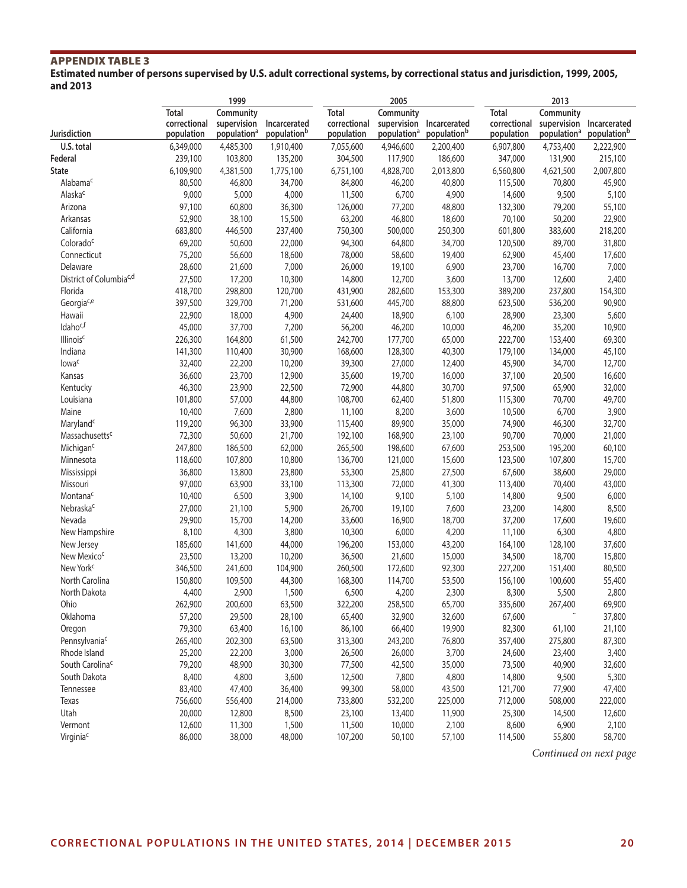# Appendix Table 3

**Estimated number of persons supervised by U.S. adult correctional systems, by correctional status and jurisdiction, 1999, 2005, and 2013**

|                             |                            | 1999                                   |                             |                            | 2005                                   |                                         |                            | 2013                                   |                             |
|-----------------------------|----------------------------|----------------------------------------|-----------------------------|----------------------------|----------------------------------------|-----------------------------------------|----------------------------|----------------------------------------|-----------------------------|
|                             | <b>Total</b>               | Community                              |                             | <b>Total</b>               | Community                              |                                         | <b>Total</b>               | Community                              |                             |
| Jurisdiction                | correctional<br>population | supervision<br>population <sup>a</sup> | Incarcerated<br>populationb | correctional<br>population | supervision<br>population <sup>a</sup> | Incarcerated<br>population <sup>b</sup> | correctional<br>population | supervision<br>population <sup>a</sup> | Incarcerated<br>populationb |
| U.S. total                  | 6,349,000                  | 4,485,300                              | 1,910,400                   | 7,055,600                  | 4,946,600                              | 2,200,400                               | 6,907,800                  | 4,753,400                              | 2,222,900                   |
| Federal                     | 239,100                    | 103,800                                | 135,200                     | 304,500                    | 117,900                                | 186,600                                 | 347,000                    | 131,900                                | 215,100                     |
| <b>State</b>                | 6,109,900                  | 4,381,500                              | 1,775,100                   | 6,751,100                  | 4,828,700                              | 2,013,800                               | 6,560,800                  | 4,621,500                              | 2,007,800                   |
| Alabama <sup>c</sup>        | 80,500                     | 46,800                                 | 34,700                      | 84,800                     | 46,200                                 | 40,800                                  | 115,500                    | 70,800                                 | 45,900                      |
| Alaska <sup>c</sup>         | 9,000                      | 5,000                                  | 4,000                       | 11,500                     | 6,700                                  | 4,900                                   | 14,600                     | 9,500                                  | 5,100                       |
| Arizona                     | 97,100                     | 60,800                                 | 36,300                      | 126,000                    | 77,200                                 | 48,800                                  | 132,300                    | 79,200                                 | 55,100                      |
| Arkansas                    | 52,900                     | 38,100                                 | 15,500                      | 63,200                     | 46,800                                 | 18,600                                  | 70,100                     | 50,200                                 | 22,900                      |
| California                  | 683,800                    | 446,500                                | 237,400                     | 750,300                    | 500,000                                | 250,300                                 | 601,800                    | 383,600                                | 218,200                     |
| Colorado <sup>c</sup>       | 69,200                     | 50,600                                 | 22,000                      | 94,300                     | 64,800                                 | 34,700                                  | 120,500                    | 89,700                                 | 31,800                      |
| Connecticut                 | 75,200                     | 56,600                                 | 18,600                      | 78,000                     | 58,600                                 | 19,400                                  | 62,900                     | 45,400                                 | 17,600                      |
| Delaware                    | 28,600                     | 21,600                                 | 7,000                       | 26,000                     | 19,100                                 | 6,900                                   | 23,700                     | 16,700                                 | 7,000                       |
| District of Columbiac,d     | 27,500                     | 17,200                                 | 10,300                      | 14,800                     | 12,700                                 | 3,600                                   | 13,700                     | 12,600                                 | 2,400                       |
| Florida                     | 418,700                    | 298,800                                | 120,700                     | 431,900                    | 282,600                                | 153,300                                 | 389,200                    | 237,800                                | 154,300                     |
| Georgiac,e                  | 397,500                    | 329,700                                | 71,200                      | 531,600                    | 445,700                                | 88,800                                  | 623,500                    | 536,200                                | 90,900                      |
| Hawaii                      | 22,900                     | 18,000                                 | 4,900                       | 24,400                     | 18,900                                 | 6,100                                   | 28,900                     | 23,300                                 | 5,600                       |
| Idaho <sup>c,f</sup>        | 45,000                     | 37,700                                 | 7,200                       | 56,200                     | 46,200                                 | 10,000                                  | 46,200                     | 35,200                                 | 10,900                      |
| <b>Illinois<sup>c</sup></b> | 226,300                    | 164,800                                | 61,500                      | 242,700                    | 177,700                                | 65,000                                  | 222,700                    | 153,400                                | 69,300                      |
| Indiana                     | 141,300                    | 110,400                                | 30,900                      | 168,600                    | 128,300                                | 40,300                                  | 179,100                    | 134,000                                | 45,100                      |
| lowa <sup>c</sup>           | 32,400                     | 22,200                                 | 10,200                      | 39,300                     | 27,000                                 | 12,400                                  | 45,900                     | 34,700                                 | 12,700                      |
| Kansas                      | 36,600                     | 23,700                                 | 12,900                      | 35,600                     | 19,700                                 | 16,000                                  | 37,100                     | 20,500                                 | 16,600                      |
| Kentucky                    | 46,300                     | 23,900                                 | 22,500                      | 72,900                     | 44,800                                 | 30,700                                  | 97,500                     | 65,900                                 | 32,000                      |
| Louisiana                   | 101,800                    | 57,000                                 | 44,800                      | 108,700                    | 62,400                                 | 51,800                                  | 115,300                    | 70,700                                 | 49,700                      |
| Maine                       | 10,400                     | 7,600                                  | 2,800                       | 11,100                     | 8,200                                  | 3,600                                   | 10,500                     | 6,700                                  | 3,900                       |
| Maryland <sup>c</sup>       | 119,200                    | 96,300                                 | 33,900                      | 115,400                    | 89,900                                 | 35,000                                  | 74,900                     | 46,300                                 | 32,700                      |
| Massachusettsc              | 72,300                     | 50,600                                 | 21,700                      | 192,100                    | 168,900                                | 23,100                                  | 90,700                     | 70,000                                 | 21,000                      |
| Michigan <sup>c</sup>       | 247,800                    | 186,500                                | 62,000                      | 265,500                    | 198,600                                | 67,600                                  | 253,500                    | 195,200                                | 60,100                      |
| Minnesota                   | 118,600                    | 107,800                                | 10,800                      | 136,700                    | 121,000                                | 15,600                                  | 123,500                    | 107,800                                | 15,700                      |
| Mississippi                 | 36,800                     | 13,800                                 | 23,800                      | 53,300                     | 25,800                                 | 27,500                                  | 67,600                     | 38,600                                 | 29,000                      |
| Missouri                    | 97,000                     | 63,900                                 | 33,100                      | 113,300                    | 72,000                                 | 41,300                                  | 113,400                    | 70,400                                 | 43,000                      |
| Montana <sup>c</sup>        | 10,400                     | 6,500                                  | 3,900                       | 14,100                     | 9,100                                  | 5,100                                   | 14,800                     | 9,500                                  | 6,000                       |
| Nebraska <sup>c</sup>       | 27,000                     | 21,100                                 | 5,900                       | 26,700                     | 19,100                                 | 7,600                                   | 23,200                     | 14,800                                 | 8,500                       |
| Nevada                      | 29,900                     | 15,700                                 | 14,200                      | 33,600                     | 16,900                                 | 18,700                                  | 37,200                     | 17,600                                 | 19,600                      |
| New Hampshire               | 8,100                      | 4,300                                  | 3,800                       | 10,300                     | 6,000                                  | 4,200                                   | 11,100                     | 6,300                                  | 4,800                       |
| New Jersey                  | 185,600                    | 141,600                                | 44,000                      | 196,200                    | 153,000                                | 43,200                                  | 164,100                    | 128,100                                | 37,600                      |
| New Mexico <sup>c</sup>     | 23,500                     | 13,200                                 | 10,200                      | 36,500                     | 21,600                                 | 15,000                                  | 34,500                     | 18,700                                 | 15,800                      |
| New York <sup>c</sup>       | 346,500                    | 241,600                                | 104,900                     | 260,500                    | 172,600                                | 92,300                                  | 227,200                    | 151,400                                | 80,500                      |
| North Carolina              | 150,800                    | 109,500                                | 44,300                      | 168,300                    | 114,700                                | 53,500                                  | 156,100                    | 100,600                                | 55,400                      |
| North Dakota                | 4,400                      | 2,900                                  | 1,500                       | 6,500                      | 4,200                                  | 2,300                                   | 8,300                      | 5,500                                  | 2,800                       |
| Ohio                        | 262,900                    | 200,600                                | 63,500                      | 322,200                    | 258,500                                | 65,700                                  | 335,600                    | 267,400                                | 69,900                      |
| Oklahoma                    | 57,200                     | 29,500                                 | 28,100                      | 65,400                     | 32,900                                 | 32,600                                  | 67,600                     |                                        | 37,800                      |
| Oregon                      | 79,300                     | 63,400                                 | 16,100                      | 86,100                     | 66,400                                 | 19,900                                  | 82,300                     | 61,100                                 | 21,100                      |
| Pennsylvania <sup>c</sup>   | 265,400                    | 202,300                                | 63,500                      | 313,300                    | 243,200                                | 76,800                                  | 357,400                    | 275,800                                | 87,300                      |
| Rhode Island                | 25,200                     | 22,200                                 | 3,000                       | 26,500                     | 26,000                                 | 3,700                                   | 24,600                     | 23,400                                 | 3,400                       |
| South Carolina <sup>c</sup> | 79,200                     | 48,900                                 | 30,300                      | 77,500                     | 42,500                                 | 35,000                                  | 73,500                     | 40,900                                 | 32,600                      |
| South Dakota                | 8,400                      | 4,800                                  | 3,600                       | 12,500                     | 7,800                                  | 4,800                                   | 14,800                     | 9,500                                  | 5,300                       |
| Tennessee                   | 83,400                     | 47,400                                 | 36,400                      | 99,300                     | 58,000                                 | 43,500                                  | 121,700                    | 77,900                                 | 47,400                      |
| Texas                       | 756,600                    | 556,400                                | 214,000                     | 733,800                    | 532,200                                | 225,000                                 | 712,000                    | 508,000                                | 222,000                     |
| Utah                        | 20,000                     | 12,800                                 | 8,500                       | 23,100                     | 13,400                                 | 11,900                                  | 25,300                     | 14,500                                 | 12,600                      |
| Vermont                     | 12,600                     | 11,300                                 | 1,500                       | 11,500                     | 10,000                                 | 2,100                                   | 8,600                      | 6,900                                  | 2,100                       |
| Virginia <sup>c</sup>       | 86,000                     | 38,000                                 | 48,000                      | 107,200                    | 50,100                                 | 57,100                                  | 114,500                    | 55,800                                 | 58,700                      |

*Continued on next page*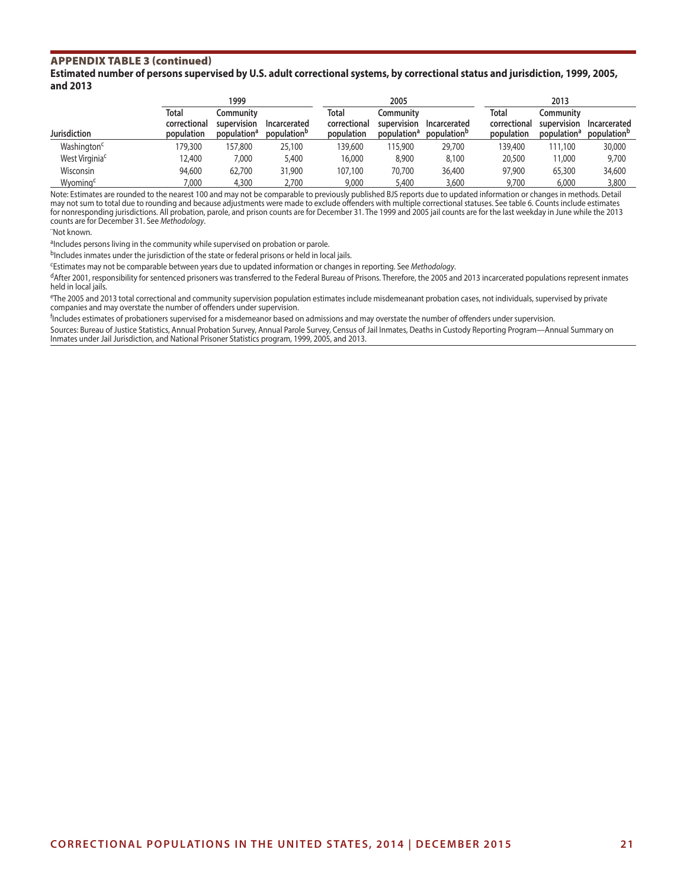### APPENDIX TABLE 3 (continued) **Estimated number of persons supervised by U.S. adult correctional systems, by correctional status and jurisdiction, 1999, 2005, and 2013**

|                            |                                     | 1999                                                |                                         | 2005                                |                                                     |                                         | 2013                                |                                                     |                                         |
|----------------------------|-------------------------------------|-----------------------------------------------------|-----------------------------------------|-------------------------------------|-----------------------------------------------------|-----------------------------------------|-------------------------------------|-----------------------------------------------------|-----------------------------------------|
| <b>Jurisdiction</b>        | Total<br>correctional<br>population | Communitv<br>supervision<br>population <sup>a</sup> | Incarcerated<br>population <sup>b</sup> | Total<br>correctional<br>population | Communitv<br>supervision<br>population <sup>a</sup> | Incarcerated<br>population <sup>b</sup> | Total<br>correctional<br>population | Communitv<br>supervision<br>population <sup>a</sup> | Incarcerated<br>population <sup>b</sup> |
| Washington <sup>c</sup>    | 179,300                             | 157,800                                             | 25,100                                  | 139,600                             | 115,900                                             | 29,700                                  | 139,400                             | 111,100                                             | 30,000                                  |
| West Virginia <sup>c</sup> | 12,400                              | 7,000                                               | 5,400                                   | 16,000                              | 8,900                                               | 8,100                                   | 20,500                              | 11,000                                              | 9,700                                   |
| <b>Wisconsin</b>           | 94,600                              | 62,700                                              | 31,900                                  | 107,100                             | 70,700                                              | 36,400                                  | 97,900                              | 65,300                                              | 34,600                                  |
| Wyoming <sup>c</sup>       | 7,000                               | 4,300                                               | 2,700                                   | 9,000                               | 5,400                                               | 3,600                                   | 9,700                               | 6,000                                               | 3,800                                   |

Note: Estimates are rounded to the nearest 100 and may not be comparable to previously published BJS reports due to updated information or changes in methods. Detail may not sum to total due to rounding and because adjustments were made to exclude offenders with multiple correctional statuses. See table 6. Counts include estimates for nonresponding jurisdictions. All probation, parole, and prison counts are for December 31. The 1999 and 2005 jail counts are for the last weekday in June while the 2013 counts are for December 31. See *Methodology*.

¨Not known.

aIncludes persons living in the community while supervised on probation or parole.

bIncludes inmates under the jurisdiction of the state or federal prisons or held in local jails.

cEstimates may not be comparable between years due to updated information or changes in reporting. See *Methodology*.

dAfter 2001, responsibility for sentenced prisoners was transferred to the Federal Bureau of Prisons. Therefore, the 2005 and 2013 incarcerated populations represent inmates held in local jails.

eThe 2005 and 2013 total correctional and community supervision population estimates include misdemeanant probation cases, not individuals, supervised by private companies and may overstate the number of offenders under supervision.

f Includes estimates of probationers supervised for a misdemeanor based on admissions and may overstate the number of offenders under supervision.

Sources: Bureau of Justice Statistics, Annual Probation Survey, Annual Parole Survey, Census of Jail Inmates, Deaths in Custody Reporting Program—Annual Summary on Inmates under Jail Jurisdiction, and National Prisoner Statistics program, 1999, 2005, and 2013.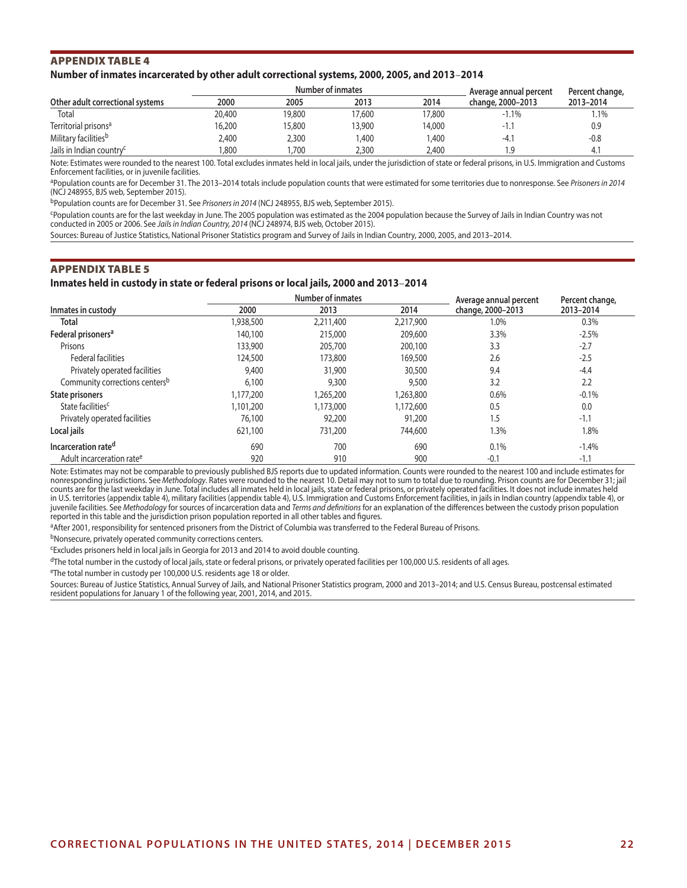# Appendix Table 4 **Number of inmates incarcerated by other adult correctional systems, 2000, 2005, and 2013**–**2014**

|                                      | Number of inmates |        |        |        | Average annual percent | Percent change, |
|--------------------------------------|-------------------|--------|--------|--------|------------------------|-----------------|
| Other adult correctional systems     | 2000              | 2005   | 2013   | 2014   | change, 2000-2013      | 2013-2014       |
| Total                                | 20,400            | 19,800 | 17.600 | 17,800 | $-1.1%$                | $1.1\%$         |
| Territorial prisons <sup>a</sup>     | 16,200            | 15,800 | 13,900 | 14,000 | -1.,                   | 0.9             |
| Military facilities <sup>b</sup>     | 2,400             | 2,300  | .400   | ,400   | $-4.1$                 | $-0.8$          |
| Jails in Indian country <sup>c</sup> | ,800              | ,700   | 2,300  | 2,400  | . 9                    | 4.1             |

Note: Estimates were rounded to the nearest 100. Total excludes inmates held in local jails, under the jurisdiction of state or federal prisons, in U.S. Immigration and Customs Enforcement facilities, or in juvenile facilities.

aPopulation counts are for December 31. The 2013–2014 totals include population counts that were estimated for some territories due to nonresponse. See *Prisoners in 2014*  (NCJ 248955, BJS web, September 2015).

<sup>b</sup>Population counts are for December 31. See *Prisoners in 2014* (NCJ 248955, BJS web, September 2015).<br><sup>c</sup>Population counts are for the last weekday in June. The 2005 population was estimated as the 2004 population becau conducted in 2005 or 2006. See *Jails in Indian Country, 2014* (NCJ 248974, BJS web, October 2015).

Sources: Bureau of Justice Statistics, National Prisoner Statistics program and Survey of Jails in Indian Country, 2000, 2005, and 2013–2014.

### Appendix Table 5

### **Inmates held in custody in state or federal prisons or local jails, 2000 and 2013**–**2014**

|                                            | <b>Number of inmates</b> |           |           | Average annual percent | Percent change, |
|--------------------------------------------|--------------------------|-----------|-----------|------------------------|-----------------|
| Inmates in custody                         | 2000                     | 2013      | 2014      | change, 2000-2013      | 2013-2014       |
| Total                                      | 938,500                  | 2,211,400 | 2,217,900 | 1.0%                   | 0.3%            |
| Federal prisoners <sup>a</sup>             | 140,100                  | 215,000   | 209,600   | 3.3%                   | $-2.5%$         |
| Prisons                                    | 133,900                  | 205,700   | 200,100   | 3.3                    | $-2.7$          |
| <b>Federal facilities</b>                  | 124,500                  | 173,800   | 169,500   | 2.6                    | $-2.5$          |
| Privately operated facilities              | 9,400                    | 31,900    | 30,500    | 9.4                    | $-4.4$          |
| Community corrections centers <sup>b</sup> | 6,100                    | 9,300     | 9,500     | 3.2                    | 2.2             |
| <b>State prisoners</b>                     | 1,177,200                | 1,265,200 | .263,800  | 0.6%                   | $-0.1%$         |
| State facilities <sup>c</sup>              | 1,101,200                | 1,173,000 | 1,172,600 | 0.5                    | 0.0             |
| Privately operated facilities              | 76,100                   | 92,200    | 91,200    | 1.5                    | $-1.1$          |
| Local jails                                | 621,100                  | 731,200   | 744,600   | 1.3%                   | 1.8%            |
| Incarceration rate <sup>d</sup>            | 690                      | 700       | 690       | 0.1%                   | $-1.4%$         |
| Adult incarceration rate <sup>e</sup>      | 920                      | 910       | 900       | $-0.1$                 | $-1.1$          |

Note: Estimates may not be comparable to previously published BJS reports due to updated information. Counts were rounded to the nearest 100 and include estimates for nonresponding jurisdictions. See *Methodology*. Rates were rounded to the nearest 10. Detail may not to sum to total due to rounding. Prison counts are for December 31; jail counts are for the last weekday in June. Total includes all inmates held in local jails, state or federal prisons, or privately operated facilities. It does not include inmates held in U.S. territories (appendix table 4), military facilities (appendix table 4), U.S. Immigration and Customs Enforcement facilities, in jails in Indian country (appendix table 4), or juvenile facilities. See *Methodology* for sources of incarceration data and *Terms and definitions* for an explanation of the differences between the custody prison population reported in this table and the jurisdiction prison population reported in all other tables and figures.

aAfter 2001, responsibility for sentenced prisoners from the District of Columbia was transferred to the Federal Bureau of Prisons.

bNonsecure, privately operated community corrections centers.

cExcludes prisoners held in local jails in Georgia for 2013 and 2014 to avoid double counting.

<sup>d</sup>The total number in the custody of local jails, state or federal prisons, or privately operated facilities per 100,000 U.S. residents of all ages.

eThe total number in custody per 100,000 U.S. residents age 18 or older.

Sources: Bureau of Justice Statistics, Annual Survey of Jails, and National Prisoner Statistics program, 2000 and 2013–2014; and U.S. Census Bureau, postcensal estimated resident populations for January 1 of the following year, 2001, 2014, and 2015.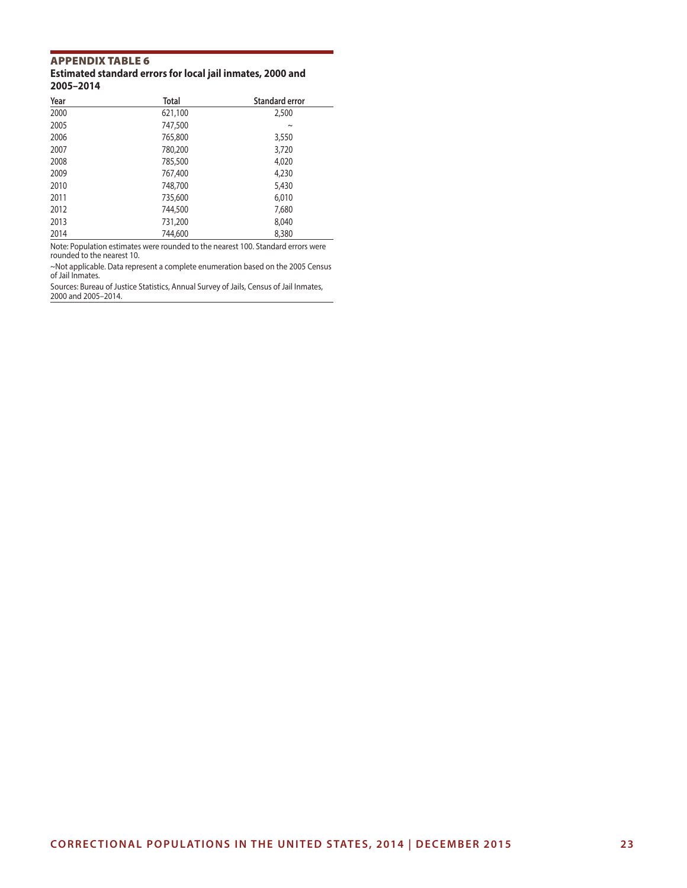# Appendix Table 6

### **Estimated standard errors for local jail inmates, 2000 and 2005–2014**

| Year | <b>Total</b> | <b>Standard error</b> |  |  |
|------|--------------|-----------------------|--|--|
| 2000 | 621,100      | 2,500                 |  |  |
| 2005 | 747,500      | $\sim$                |  |  |
| 2006 | 765,800      | 3,550                 |  |  |
| 2007 | 780,200      | 3,720                 |  |  |
| 2008 | 785,500      | 4,020                 |  |  |
| 2009 | 767,400      | 4,230                 |  |  |
| 2010 | 748,700      | 5,430                 |  |  |
| 2011 | 735,600      | 6,010                 |  |  |
| 2012 | 744,500      | 7,680                 |  |  |
| 2013 | 731,200      | 8,040                 |  |  |
| 2014 | 744,600      | 8,380                 |  |  |

Note: Population estimates were rounded to the nearest 100. Standard errors were rounded to the nearest 10.

~Not applicable. Data represent a complete enumeration based on the 2005 Census of Jail Inmates.

Sources: Bureau of Justice Statistics, Annual Survey of Jails, Census of Jail Inmates, 2000 and 2005–2014.